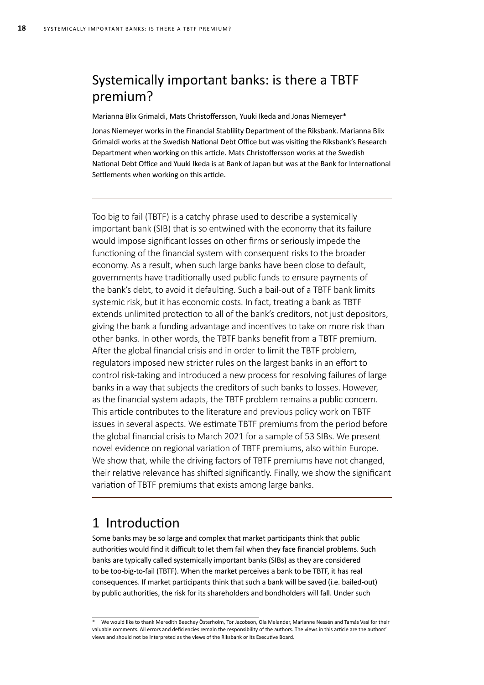## Systemically important banks: is there a TBTF premium?

Marianna Blix Grimaldi, Mats Christoffersson, Yuuki Ikeda and Jonas Niemeyer\*

Jonas Niemeyer works in the Financial Stablility Department of the Riksbank. Marianna Blix Grimaldi works at the Swedish National Debt Office but was visiting the Riksbank's Research Department when working on this article. Mats Christoffersson works at the Swedish National Debt Office and Yuuki Ikeda is at Bank of Japan but was at the Bank for International Settlements when working on this article.

Too big to fail (TBTF) is a catchy phrase used to describe a systemically important bank (SIB) that is so entwined with the economy that its failure would impose significant losses on other firms or seriously impede the functioning of the financial system with consequent risks to the broader economy. As a result, when such large banks have been close to default, governments have traditionally used public funds to ensure payments of the bank's debt, to avoid it defaulting. Such a bail-out of a TBTF bank limits systemic risk, but it has economic costs. In fact, treating a bank as TBTF extends unlimited protection to all of the bank's creditors, not just depositors, giving the bank a funding advantage and incentives to take on more risk than other banks. In other words, the TBTF banks benefit from a TBTF premium. After the global financial crisis and in order to limit the TBTF problem, regulators imposed new stricter rules on the largest banks in an effort to control risk-taking and introduced a new process for resolving failures of large banks in a way that subjects the creditors of such banks to losses. However, as the financial system adapts, the TBTF problem remains a public concern. This article contributes to the literature and previous policy work on TBTF issues in several aspects. We estimate TBTF premiums from the period before the global financial crisis to March 2021 for a sample of 53 SIBs. We present novel evidence on regional variation of TBTF premiums, also within Europe. We show that, while the driving factors of TBTF premiums have not changed. their relative relevance has shifted significantly. Finally, we show the significant variation of TBTF premiums that exists among large banks.

## 1 Introduction

Some banks may be so large and complex that market participants think that public authorities would find it difficult to let them fail when they face financial problems. Such banks are typically called systemically important banks (SIBs) as they are considered to be too-big-to-fail (TBTF). When the market perceives a bank to be TBTF, it has real consequences. If market participants think that such a bank will be saved (i.e. bailed-out) by public authorities, the risk for its shareholders and bondholders will fall. Under such

<sup>\*</sup> We would like to thank Meredith Beechey Österholm, Tor Jacobson, Ola Melander, Marianne Nessén and Tamás Vasi for their valuable comments. All errors and deficiencies remain the responsibility of the authors. The views in this article are the authors' views and should not be interpreted as the views of the Riksbank or its Executive Board.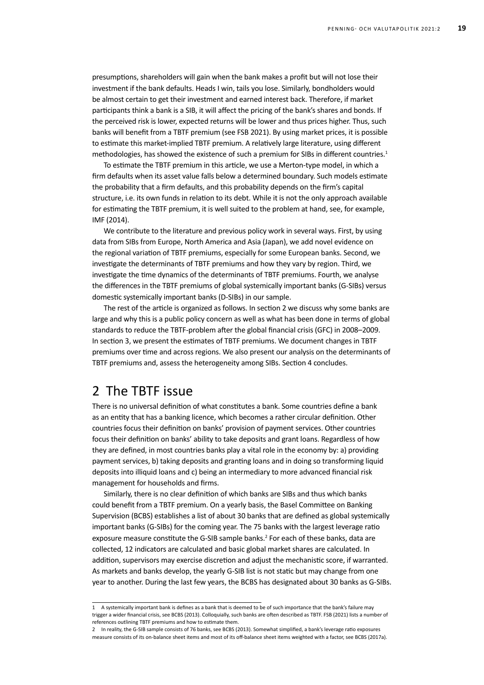presumptions, shareholders will gain when the bank makes a profit but will not lose their investment if the bank defaults. Heads I win, tails you lose. Similarly, bondholders would be almost certain to get their investment and earned interest back. Therefore, if market participants think a bank is a SIB, it will affect the pricing of the bank's shares and bonds. If the perceived risk is lower, expected returns will be lower and thus prices higher. Thus, such banks will benefit from a TBTF premium (see FSB 2021). By using market prices, it is possible to estimate this market-implied TBTF premium. A relatively large literature, using different methodologies, has showed the existence of such a premium for SIBs in different countries.<sup>1</sup>

To estimate the TBTF premium in this article, we use a Merton-type model, in which a firm defaults when its asset value falls below a determined boundary. Such models estimate the probability that a firm defaults, and this probability depends on the firm's capital structure, i.e. its own funds in relation to its debt. While it is not the only approach available for estimating the TBTF premium, it is well suited to the problem at hand, see, for example, IMF (2014).

We contribute to the literature and previous policy work in several ways. First, by using data from SIBs from Europe, North America and Asia (Japan), we add novel evidence on the regional variation of TBTF premiums, especially for some European banks. Second, we investigate the determinants of TBTF premiums and how they vary by region. Third, we investigate the time dynamics of the determinants of TBTF premiums. Fourth, we analyse the differences in the TBTF premiums of global systemically important banks (G-SIBs) versus domestic systemically important banks (D-SIBs) in our sample.

The rest of the article is organized as follows. In section 2 we discuss why some banks are large and why this is a public policy concern as well as what has been done in terms of global standards to reduce the TBTF-problem after the global financial crisis (GFC) in 2008–2009. In section 3, we present the estimates of TBTF premiums. We document changes in TBTF premiums over time and across regions. We also present our analysis on the determinants of TBTF premiums and, assess the heterogeneity among SIBs. Section 4 concludes.

## 2 The TBTF issue

There is no universal definition of what constitutes a bank. Some countries define a bank as an entity that has a banking licence, which becomes a rather circular definition. Other countries focus their definition on banks' provision of payment services. Other countries focus their definition on banks' ability to take deposits and grant loans. Regardless of how they are defined, in most countries banks play a vital role in the economy by: a) providing payment services, b) taking deposits and granting loans and in doing so transforming liquid deposits into illiquid loans and c) being an intermediary to more advanced financial risk management for households and firms.

Similarly, there is no clear definition of which banks are SIBs and thus which banks could benefit from a TBTF premium. On a yearly basis, the Basel Committee on Banking Supervision (BCBS) establishes a list of about 30 banks that are defined as global systemically important banks (G-SIBs) for the coming year. The 75 banks with the largest leverage ratio exposure measure constitute the G-SIB sample banks.<sup>2</sup> For each of these banks, data are collected, 12 indicators are calculated and basic global market shares are calculated. In addition, supervisors may exercise discretion and adjust the mechanistic score, if warranted. As markets and banks develop, the yearly G-SIB list is not static but may change from one year to another. During the last few years, the BCBS has designated about 30 banks as G-SIBs.

<sup>1</sup> A systemically important bank is defines as a bank that is deemed to be of such importance that the bank's failure may trigger a wider financial crisis, see BCBS (2013). Colloquially, such banks are often described as TBTF. FSB (2021) lists a number of references outlining TBTF premiums and how to estimate them.

<sup>2</sup> In reality, the G-SIB sample consists of 76 banks, see BCBS (2013). Somewhat simplified, a bank's leverage ratio exposures measure consists of its on-balance sheet items and most of its off-balance sheet items weighted with a factor, see BCBS (2017a).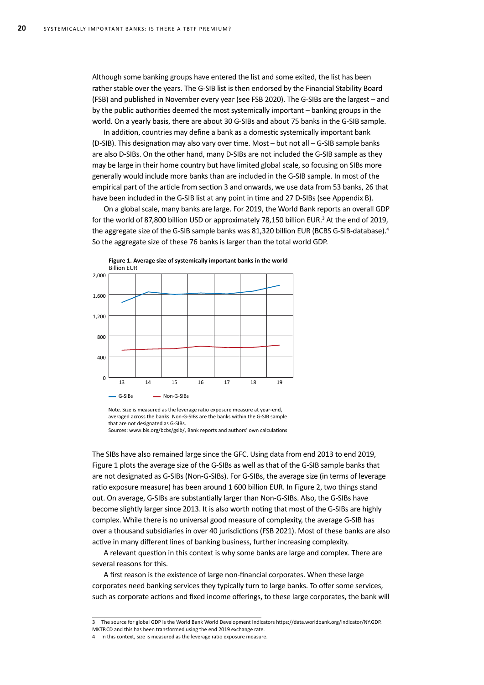Although some banking groups have entered the list and some exited, the list has been rather stable over the years. The G-SIB list is then endorsed by the Financial Stability Board (FSB) and published in November every year (see FSB 2020). The G-SIBs are the largest – and by the public authorities deemed the most systemically important – banking groups in the world. On a yearly basis, there are about 30 G-SIBs and about 75 banks in the G-SIB sample.

In addition, countries may define a bank as a domestic systemically important bank (D-SIB). This designation may also vary over time. Most – but not all – G-SIB sample banks are also D-SIBs. On the other hand, many D-SIBs are not included the G-SIB sample as they may be large in their home country but have limited global scale, so focusing on SIBs more generally would include more banks than are included in the G-SIB sample. In most of the empirical part of the article from section 3 and onwards, we use data from 53 banks, 26 that have been included in the G-SIB list at any point in time and 27 D-SIBs (see Appendix B).

On a global scale, many banks are large. For 2019, the World Bank reports an overall GDP for the world of 87,800 billion USD or approximately 78,150 billion EUR.<sup>3</sup> At the end of 2019, the aggregate size of the G-SIB sample banks was 81,320 billion EUR (BCBS G-SIB-database).<sup>4</sup> So the aggregate size of these 76 banks is larger than the total world GDP.



Note. Size is measured as the leverage ratio exposure measure at year-end, averaged across the banks. Non-G-SIBs are the banks within the G-SIB sample that are not designated as G-SIBs.

The SIBs have also remained large since the GFC. Using data from end 2013 to end 2019, Figure 1 plots the average size of the G-SIBs as well as that of the G-SIB sample banks that are not designated as G-SIBs (Non-G-SIBs). For G-SIBs, the average size (in terms of leverage ratio exposure measure) has been around 1 600 billion EUR. In Figure 2, two things stand out. On average, G-SIBs are substantially larger than Non-G-SIBs. Also, the G-SIBs have become slightly larger since 2013. It is also worth noting that most of the G-SIBs are highly complex. While there is no universal good measure of complexity, the average G-SIB has over a thousand subsidiaries in over 40 jurisdictions (FSB 2021). Most of these banks are also active in many different lines of banking business, further increasing complexity.

A relevant question in this context is why some banks are large and complex. There are several reasons for this.

A first reason is the existence of large non-financial corporates. When these large corporates need banking services they typically turn to large banks. To offer some services, such as corporate actions and fixed income offerings, to these large corporates, the bank will

Sources: www.bis.org/bcbs/gsib/, Bank reports and authors' own calculations

<sup>3</sup> The source for global GDP is the World Bank World Development Indicators [https://data.worldbank.org/indicator/NY.GDP.](https://data.worldbank.org/indicator/NY.GDP.MKTP.CD) [MKTP.CD](https://data.worldbank.org/indicator/NY.GDP.MKTP.CD) and this has been transformed using the end 2019 exchange rate.

<sup>4</sup> In this context, size is measured as the leverage ratio exposure measure.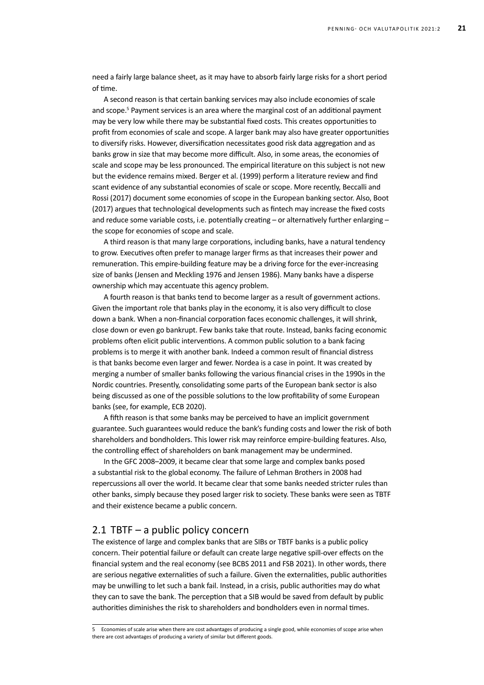need a fairly large balance sheet, as it may have to absorb fairly large risks for a short period of time.

A second reason is that certain banking services may also include economies of scale and scope.<sup>5</sup> Payment services is an area where the marginal cost of an additional payment may be very low while there may be substantial fixed costs. This creates opportunities to profit from economies of scale and scope. A larger bank may also have greater opportunities to diversify risks. However, diversification necessitates good risk data aggregation and as banks grow in size that may become more difficult. Also, in some areas, the economies of scale and scope may be less pronounced. The empirical literature on this subject is not new but the evidence remains mixed. Berger et al. (1999) perform a literature review and find scant evidence of any substantial economies of scale or scope. More recently, Beccalli and Rossi (2017) document some economies of scope in the European banking sector. Also, Boot (2017) argues that technological developments such as fintech may increase the fixed costs and reduce some variable costs, i.e. potentially creating - or alternatively further enlarging the scope for economies of scope and scale.

A third reason is that many large corporations, including banks, have a natural tendency to grow. Executives often prefer to manage larger firms as that increases their power and remuneration. This empire-building feature may be a driving force for the ever-increasing size of banks (Jensen and Meckling 1976 and Jensen 1986). Many banks have a disperse ownership which may accentuate this agency problem.

A fourth reason is that banks tend to become larger as a result of government actions. Given the important role that banks play in the economy, it is also very difficult to close down a bank. When a non-financial corporation faces economic challenges, it will shrink, close down or even go bankrupt. Few banks take that route. Instead, banks facing economic problems often elicit public interventions. A common public solution to a bank facing problems is to merge it with another bank. Indeed a common result of financial distress is that banks become even larger and fewer. Nordea is a case in point. It was created by merging a number of smaller banks following the various financial crises in the 1990s in the Nordic countries. Presently, consolidating some parts of the European bank sector is also being discussed as one of the possible solutions to the low profitability of some European banks (see, for example, ECB 2020).

A fifth reason is that some banks may be perceived to have an implicit government guarantee. Such guarantees would reduce the bank's funding costs and lower the risk of both shareholders and bondholders. This lower risk may reinforce empire-building features. Also, the controlling effect of shareholders on bank management may be undermined.

In the GFC 2008–2009, it became clear that some large and complex banks posed a substantial risk to the global economy. The failure of Lehman Brothers in 2008 had repercussions all over the world. It became clear that some banks needed stricter rules than other banks, simply because they posed larger risk to society. These banks were seen as TBTF and their existence became a public concern.

### 2.1 TBTF – a public policy concern

The existence of large and complex banks that are SIBs or TBTF banks is a public policy concern. Their potential failure or default can create large negative spill-over effects on the financial system and the real economy (see BCBS 2011 and FSB 2021). In other words, there are serious negative externalities of such a failure. Given the externalities, public authorities may be unwilling to let such a bank fail. Instead, in a crisis, public authorities may do what they can to save the bank. The perception that a SIB would be saved from default by public authorities diminishes the risk to shareholders and bondholders even in normal times.

<sup>5</sup> Economies of scale arise when there are cost advantages of producing a single good, while economies of scope arise when there are cost advantages of producing a variety of similar but different goods.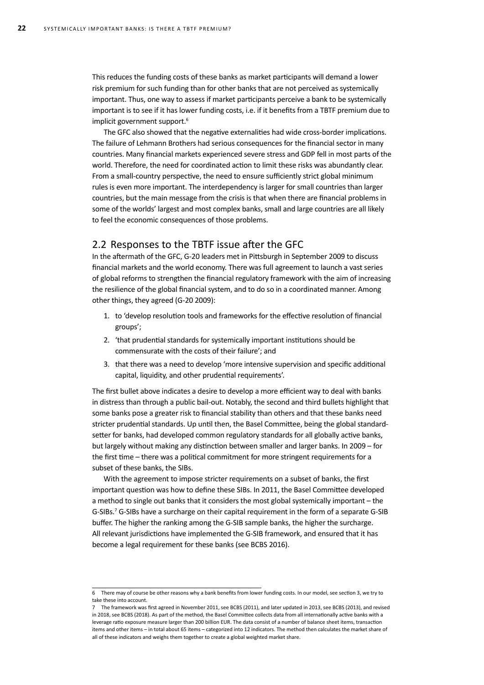This reduces the funding costs of these banks as market participants will demand a lower risk premium for such funding than for other banks that are not perceived as systemically important. Thus, one way to assess if market participants perceive a bank to be systemically important is to see if it has lower funding costs, i.e. if it benefits from a TBTF premium due to implicit government support.<sup>6</sup>

The GFC also showed that the negative externalities had wide cross-border implications. The failure of Lehmann Brothers had serious consequences for the financial sector in many countries. Many financial markets experienced severe stress and GDP fell in most parts of the world. Therefore, the need for coordinated action to limit these risks was abundantly clear. From a small-country perspective, the need to ensure sufficiently strict global minimum rules is even more important. The interdependency is larger for small countries than larger countries, but the main message from the crisis is that when there are financial problems in some of the worlds' largest and most complex banks, small and large countries are all likely to feel the economic consequences of those problems.

### 2.2 Responses to the TBTF issue after the GFC

In the aftermath of the GFC, G-20 leaders met in Pittsburgh in September 2009 to discuss financial markets and the world economy. There was full agreement to launch a vast series of global reforms to strengthen the financial regulatory framework with the aim of increasing the resilience of the global financial system, and to do so in a coordinated manner. Among other things, they agreed (G-20 2009):

- 1. to 'develop resolution tools and frameworks for the effective resolution of financial groups';
- 2. 'that prudential standards for systemically important institutions should be commensurate with the costs of their failure'; and
- 3. that there was a need to develop 'more intensive supervision and specific additional capital, liquidity, and other prudential requirements'.

The first bullet above indicates a desire to develop a more efficient way to deal with banks in distress than through a public bail-out. Notably, the second and third bullets highlight that some banks pose a greater risk to financial stability than others and that these banks need stricter prudential standards. Up until then, the Basel Committee, being the global standardsetter for banks, had developed common regulatory standards for all globally active banks, but largely without making any distinction between smaller and larger banks. In 2009 – for the first time – there was a political commitment for more stringent requirements for a subset of these banks, the SIBs.

With the agreement to impose stricter requirements on a subset of banks, the first important question was how to define these SIBs. In 2011, the Basel Committee developed a method to single out banks that it considers the most global systemically important – the G-SIBs.7 G-SIBs have a surcharge on their capital requirement in the form of a separate G-SIB buffer. The higher the ranking among the G-SIB sample banks, the higher the surcharge. All relevant jurisdictions have implemented the G-SIB framework, and ensured that it has become a legal requirement for these banks (see BCBS 2016).

<sup>6</sup> There may of course be other reasons why a bank benefits from lower funding costs. In our model, see section 3, we try to take these into account.

<sup>7</sup> The framework was first agreed in November 2011, see BCBS (2011), and later updated in 2013, see BCBS (2013), and revised in 2018, see BCBS (2018). As part of the method, the Basel Committee collects data from all internationally active banks with a leverage ratio exposure measure larger than 200 billion EUR. The data consist of a number of balance sheet items, transaction items and other items – in total about 65 items – categorized into 12 indicators. The method then calculates the market share of all of these indicators and weighs them together to create a global weighted market share.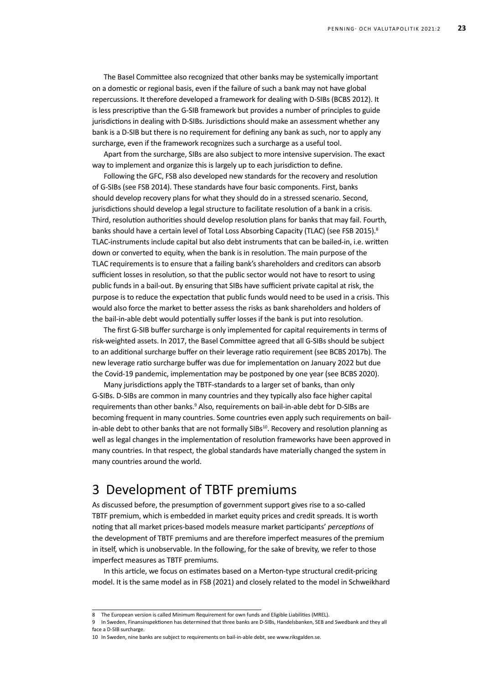The Basel Committee also recognized that other banks may be systemically important on a domestic or regional basis, even if the failure of such a bank may not have global repercussions. It therefore developed a framework for dealing with D-SIBs (BCBS 2012). It is less prescriptive than the G-SIB framework but provides a number of principles to guide jurisdictions in dealing with D-SIBs. Jurisdictions should make an assessment whether any bank is a D-SIB but there is no requirement for defining any bank as such, nor to apply any surcharge, even if the framework recognizes such a surcharge as a useful tool.

Apart from the surcharge, SIBs are also subject to more intensive supervision. The exact way to implement and organize this is largely up to each jurisdiction to define.

Following the GFC, FSB also developed new standards for the recovery and resolution of G-SIBs (see FSB 2014). These standards have four basic components. First, banks should develop recovery plans for what they should do in a stressed scenario. Second, jurisdictions should develop a legal structure to facilitate resolution of a bank in a crisis. Third, resolution authorities should develop resolution plans for banks that may fail. Fourth, banks should have a certain level of Total Loss Absorbing Capacity (TLAC) (see FSB 2015).<sup>8</sup> TLAC-instruments include capital but also debt instruments that can be bailed-in, i.e. written down or converted to equity, when the bank is in resolution. The main purpose of the TLAC requirements is to ensure that a failing bank's shareholders and creditors can absorb sufficient losses in resolution, so that the public sector would not have to resort to using public funds in a bail-out. By ensuring that SIBs have sufficient private capital at risk, the purpose is to reduce the expectation that public funds would need to be used in a crisis. This would also force the market to better assess the risks as bank shareholders and holders of the bail-in-able debt would potentially suffer losses if the bank is put into resolution.

The first G-SIB buffer surcharge is only implemented for capital requirements in terms of risk-weighted assets. In 2017, the Basel Committee agreed that all G-SIBs should be subject to an additional surcharge buffer on their leverage ratio requirement (see BCBS 2017b). The new leverage ratio surcharge buffer was due for implementation on January 2022 but due the Covid-19 pandemic, implementation may be postponed by one year (see BCBS 2020).

Many jurisdictions apply the TBTF-standards to a larger set of banks, than only G-SIBs. D-SIBs are common in many countries and they typically also face higher capital requirements than other banks.<sup>9</sup> Also, requirements on bail-in-able debt for D-SIBs are becoming frequent in many countries. Some countries even apply such requirements on bailin-able debt to other banks that are not formally  $SIBs<sup>10</sup>$ . Recovery and resolution planning as well as legal changes in the implementation of resolution frameworks have been approved in many countries. In that respect, the global standards have materially changed the system in many countries around the world.

## 3 Development of TBTF premiums

As discussed before, the presumption of government support gives rise to a so-called TBTF premium, which is embedded in market equity prices and credit spreads. It is worth noting that all market prices-based models measure market participants' *perceptions* of the development of TBTF premiums and are therefore imperfect measures of the premium in itself, which is unobservable. In the following, for the sake of brevity, we refer to those imperfect measures as TBTF premiums.

In this article, we focus on estimates based on a Merton-type structural credit-pricing model. It is the same model as in FSB (2021) and closely related to the model in Schweikhard

<sup>8</sup> The European version is called Minimum Requirement for own funds and Eligible Liabilities (MREL).

<sup>9</sup> In Sweden, Finansinspektionen has determined that three banks are D-SIBs, Handelsbanken, SEB and Swedbank and they all face a D-SIB surcharge.

<sup>10</sup> In Sweden, nine banks are subject to requirements on bail-in-able debt, see [www.riksgalden.se.](http://www.riksgalden.se)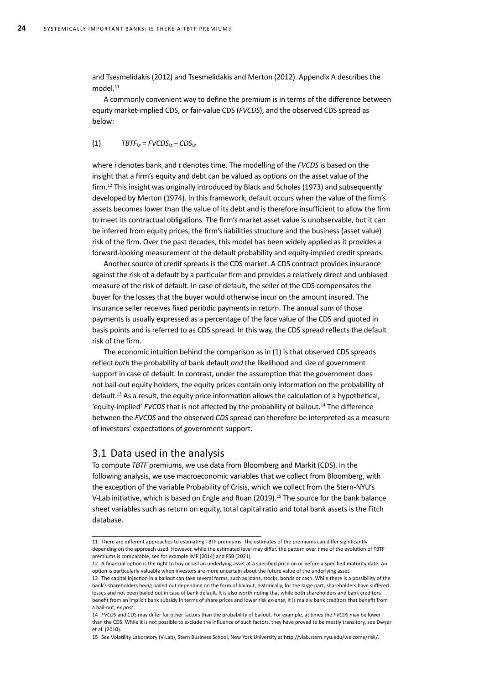and Tsesmelidakis (2012) and Tsesmelidakis and Merton (2012). Appendix A describes the  $model.<sup>11</sup>$ 

A commonly convenient way to define the premium is in terms of the difference between equity market-implied CDS, or fair-value CDS (*FVCDS*), and the observed CDS spread as below:

$$
(1) \qquad \qquad TBTF_{i,t} = FVCDS_{i,t} - CDS_{i,t}
$$

where *i* denotes bank*<sup>i</sup>* and *t* denotes time. The modelling of the *FVCDS* is based on the insight that a firm's equity and debt can be valued as options on the asset value of the firm.12 This insight was originally introduced by Black and Scholes (1973) and subsequently developed by Merton (1974). In this framework, default occurs when the value of the firm's assets becomes lower than the value of its debt and is therefore insufficient to allow the firm to meet its contractual obligations. The firm's market asset value is unobservable, but it can be inferred from equity prices, the firm's liabilities structure and the business (asset value) risk of the firm. Over the past decades, this model has been widely applied as it provides a forward-looking measurement of the default probability and equity-implied credit spreads.

Another source of credit spreads is the CDS market. A CDS contract provides insurance against the risk of a default by a particular firm and provides a relatively direct and unbiased measure of the risk of default. In case of default, the seller of the CDS compensates the buyer for the losses that the buyer would otherwise incur on the amount insured. The insurance seller receives fixed periodic payments in return. The annual sum of those payments is usually expressed as a percentage of the face value of the CDS and quoted in basis points and is referred to as CDS spread. In this way, the CDS spread reflects the default risk of the firm.

The economic intuition behind the comparison as in (1) is that observed CDS spreads reflect *both* the probability of bank default *and* the likelihood and size of government support in case of default. In contrast, under the assumption that the government does not bail-out equity holders, the equity prices contain only information on the probability of default.13 As a result, the equity price information allows the calculation of a hypothetical, 'equity-implied' *FVCDS* that is not affected by the probability of bailout.14 The difference between the *FVCDS* and the observed *CDS* spread can therefore be interpreted as a measure of investors' expectations of government support.

### 3.1 Data used in the analysis

To compute *TBTF* premiums, we use data from Bloomberg and Markit (CDS). In the following analysis, we use macroeconomic variables that we collect from Bloomberg, with the exception of the variable Probability of Crisis, which we collect from the Stern-NYU's V-Lab initiative, which is based on Engle and Ruan (2019).<sup>15</sup> The source for the bank balance sheet variables such as return on equity, total capital ratio and total bank assets is the Fitch database.

<sup>11</sup> There are different approaches to estimating TBTF premiums. The estimates of the premiums can differ significantly depending on the approach used. However, while the estimated level may differ, the pattern over time of the evolution of TBTF premiums is comparable, see for example IMF (2014) and FSB (2021).

<sup>12</sup> A financial option is the right to buy or sell an underlying asset at a specified price on or before a specified maturity date. An option is particularly valuable when investors are more uncertain about the future value of the underlying asset.

<sup>13</sup> The capital injection in a bailout can take several forms, such as loans, stocks, bonds or cash. While there is a possibility of the bank's shareholders being bailed out depending on the form of bailout, historically, for the large part, shareholders have suffered losses and not been bailed out in case of bank default. It is also worth noting that while both shareholders and bank creditors benefit from an implicit bank subsidy in terms of share prices and lower risk *ex-ante*, it is mainly bank creditors that benefit from a bail-out, *ex post*.

<sup>14</sup> *FVCDS* and CDS may differ for other factors than the probability of bailout. For example, at times the *FVCDS* may be lower than the CDS. While it is not possible to exclude the influence of such factors, they have proved to be mostly transitory, see Dwyer et al. (2010).

<sup>15</sup> See Volatility Laboratory (V-Lab), Stern Business School, New York University at http://vlab.stern.nyu.edu/welcome/risk/.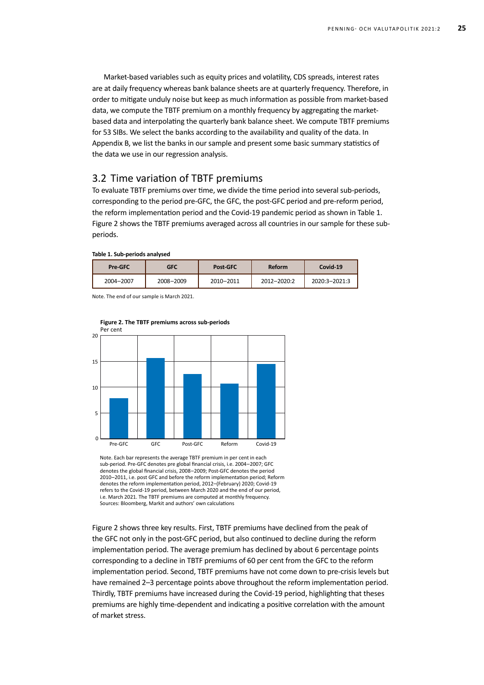Market-based variables such as equity prices and volatility, CDS spreads, interest rates are at daily frequency whereas bank balance sheets are at quarterly frequency. Therefore, in order to mitigate unduly noise but keep as much information as possible from market-based data, we compute the TBTF premium on a monthly frequency by aggregating the marketbased data and interpolating the quarterly bank balance sheet. We compute TBTF premiums for 53 SIBs. We select the banks according to the availability and quality of the data. In Appendix B, we list the banks in our sample and present some basic summary statistics of the data we use in our regression analysis.

## 3.2 Time variation of TBTF premiums

To evaluate TBTF premiums over time, we divide the time period into several sub-periods, corresponding to the period pre-GFC, the GFC, the post-GFC period and pre-reform period, the reform implementation period and the Covid-19 pandemic period as shown in Table 1. Figure 2 shows the TBTF premiums averaged across all countries in our sample for these subperiods.

**Table 1. Sub-periods analysed**

| Pre-GFC   | GFC       | <b>Post-GFC</b> | Reform      | Covid-19      |
|-----------|-----------|-----------------|-------------|---------------|
| 2004-2007 | 2008-2009 | 2010-2011       | 2012-2020:2 | 2020:3-2021:3 |

Note. The end of our sample is March 2021.



**Figure 2. The TBTF premiums across sub-periods**

Note. Each bar represents the average TBTF premium in per cent in each sub-period. Pre-GFC denotes pre global financial crisis, i.e. 2004–2007; GFC denotes the global financial crisis, 2008–2009; Post-GFC denotes the period 2010–2011, i.e. post GFC and before the reform implementation period; Reform denotes the reform implementation period, 2012–(February) 2020; Covid-19 refers to the Covid-19 period, between March 2020 and the end of our period, i.e. March 2021. The TBTF premiums are computed at monthly frequency. Sources: Bloomberg, Markit and authors' own calculations

Figure 2 shows three key results. First, TBTF premiums have declined from the peak of the GFC not only in the post-GFC period, but also continued to decline during the reform implementation period. The average premium has declined by about 6 percentage points corresponding to a decline in TBTF premiums of 60 per cent from the GFC to the reform implementation period. Second, TBTF premiums have not come down to pre-crisis levels but have remained 2–3 percentage points above throughout the reform implementation period. Thirdly, TBTF premiums have increased during the Covid-19 period, highlighting that theses premiums are highly time-dependent and indicating a positive correlation with the amount of market stress.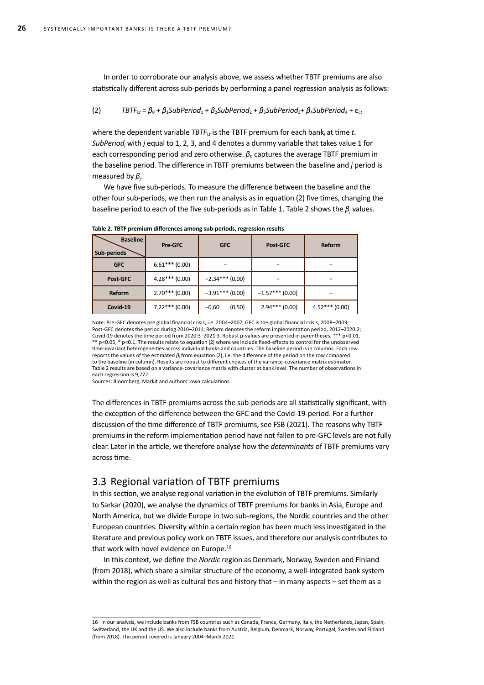In order to corroborate our analysis above, we assess whether TBTF premiums are also statistically different across sub-periods by performing a panel regression analysis as follows:

#### (2)  $TBTF_{i,t} = \beta_0 + \beta_1 \text{SubPeriod}_1 + \beta_2 \text{SubPeriod}_2 + \beta_3 \text{SubPeriod}_3 + \beta_4 \text{SubPeriod}_4 + \varepsilon_{i,t}$

where the dependent variable *TBTF*<sub>it</sub> is the TBTF premium for each bank<sub>i</sub> at time t. *SubPeriod<sup>j</sup>* with *j* equal to 1, 2, 3, and 4 denotes a dummy variable that takes value 1 for each corresponding period and zero otherwise.  $\beta_0$  captures the average TBTF premium in the baseline period. The difference in TBTF premiums between the baseline and *j* period is measured by *β<sup>j</sup>* .

We have five sub-periods. To measure the difference between the baseline and the other four sub-periods, we then run the analysis as in equation (2) five times, changing the baseline period to each of the five sub-periods as in Table 1. Table 2 shows the *β<sup>j</sup>* values.

| <b>Baseline</b><br>Sub-periods | Pre-GFC          | <b>GFC</b>        | Post GFC          | Reform          |
|--------------------------------|------------------|-------------------|-------------------|-----------------|
| <b>GFC</b>                     | $6.61***(0.00)$  |                   |                   |                 |
| Post-GFC                       | $4.28***(0.00)$  | $-2.34***$ (0.00) |                   | -               |
| Reform                         | $2.70***$ (0.00) | $-3.91***$ (0.00) | $-1.57***$ (0.00) |                 |
| Covid-19                       | $7.22***$ (0.00) | (0.50)<br>$-0.60$ | $2.94***$ (0.00)  | $4.52***(0.00)$ |

**Table 2. TBTF premium differences among sub-periods, regression results**

Note: Pre-GFC denotes pre global financial crisis, i.e. 2004–2007; GFC is the global financial crisis, 2008–2009; Post-GFC denotes the period during 2010–2011; Reform denotes the reform implementation period, 2012–2020:2; Covid-19 denotes the time period from 2020:3–2021:3. Robust p-values are presented in parentheses, \*\*\* p<0.01, \*\* p<0.05, \* p<0.1. The results relate to equation (2) where we include fixed-effects to control for the unobserved time-invariant heterogeneities across individual banks and countries. The baseline period is in columns. Each row reports the values of the estimated *β<sup>j</sup>* from equation (2), i.e. the difference of the period on the row compared to the baseline (in column). Results are robust to different choices of the variance-covariance matrix estimator. Table 2 results are based on a variance-covariance matrix with cluster at bank level. The number of observations in each regression is 9,772.

Sources: Bloomberg, Markit and authors' own calculations

The differences in TBTF premiums across the sub-periods are all statistically significant, with the exception of the difference between the GFC and the Covid-19-period. For a further discussion of the time difference of TBTF premiums, see FSB (2021). The reasons why TBTF premiums in the reform implementation period have not fallen to pre-GFC levels are not fully clear. Later in the article, we therefore analyse how the *determinants* of TBTF premiums vary across time.

## 3.3 Regional variation of TBTF premiums

In this section, we analyse regional variation in the evolution of TBTF premiums. Similarly to Sarkar (2020), we analyse the dynamics of TBTF premiums for banks in Asia, Europe and North America, but we divide Europe in two sub-regions, the Nordic countries and the other European countries. Diversity within a certain region has been much less investigated in the literature and previous policy work on TBTF issues, and therefore our analysis contributes to that work with novel evidence on Europe.<sup>16</sup>

In this context, we define the *Nordic* region as Denmark, Norway, Sweden and Finland (from 2018), which share a similar structure of the economy, a well-integrated bank system within the region as well as cultural ties and history that – in many aspects – set them as a

<sup>16</sup> In our analysis, we include banks from FSB countries such as Canada, France, Germany, Italy, the Netherlands, Japan, Spain, Switzerland, the UK and the US. We also include banks from Austria, Belgium, Denmark, Norway, Portugal, Sweden and Finland (from 2018). The period covered is January 2004–March 2021.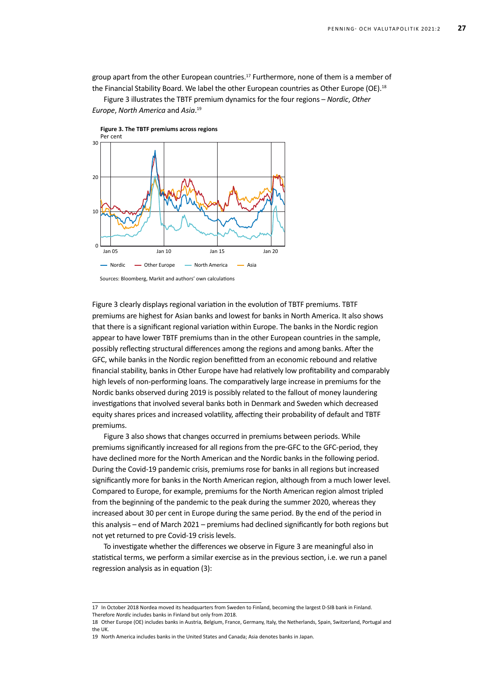group apart from the other European countries.<sup>17</sup> Furthermore, none of them is a member of the Financial Stability Board. We label the other European countries as Other Europe (OE).<sup>18</sup>

Figure 3 illustrates the TBTF premium dynamics for the four regions – *Nordic*, *Other Europe*, *North America* and *Asia*. 19



Figure 3 clearly displays regional variation in the evolution of TBTF premiums. TBTF premiums are highest for Asian banks and lowest for banks in North America. It also shows that there is a significant regional variation within Europe. The banks in the Nordic region appear to have lower TBTF premiums than in the other European countries in the sample, possibly reflecting structural differences among the regions and among banks. After the GFC, while banks in the Nordic region benefitted from an economic rebound and relative financial stability, banks in Other Europe have had relatively low profitability and comparably high levels of non-performing loans. The comparatively large increase in premiums for the Nordic banks observed during 2019 is possibly related to the fallout of money laundering investigations that involved several banks both in Denmark and Sweden which decreased equity shares prices and increased volatility, affecting their probability of default and TBTF premiums.

Figure 3 also shows that changes occurred in premiums between periods. While premiums significantly increased for all regions from the pre-GFC to the GFC-period, they have declined more for the North American and the Nordic banks in the following period. During the Covid-19 pandemic crisis, premiums rose for banks in all regions but increased significantly more for banks in the North American region, although from a much lower level. Compared to Europe, for example, premiums for the North American region almost tripled from the beginning of the pandemic to the peak during the summer 2020, whereas they increased about 30 per cent in Europe during the same period. By the end of the period in this analysis – end of March 2021 – premiums had declined significantly for both regions but not yet returned to pre Covid-19 crisis levels.

To investigate whether the differences we observe in Figure 3 are meaningful also in statistical terms, we perform a similar exercise as in the previous section, i.e. we run a panel regression analysis as in equation (3):

<sup>17</sup> In October 2018 Nordea moved its headquarters from Sweden to Finland, becoming the largest D-SIB bank in Finland. Therefore *Nordic* includes banks in Finland but only from 2018.

<sup>18</sup> Other Europe (OE) includes banks in Austria, Belgium, France, Germany, Italy, the Netherlands, Spain, Switzerland, Portugal and the UK.

<sup>19</sup> North America includes banks in the United States and Canada; Asia denotes banks in Japan.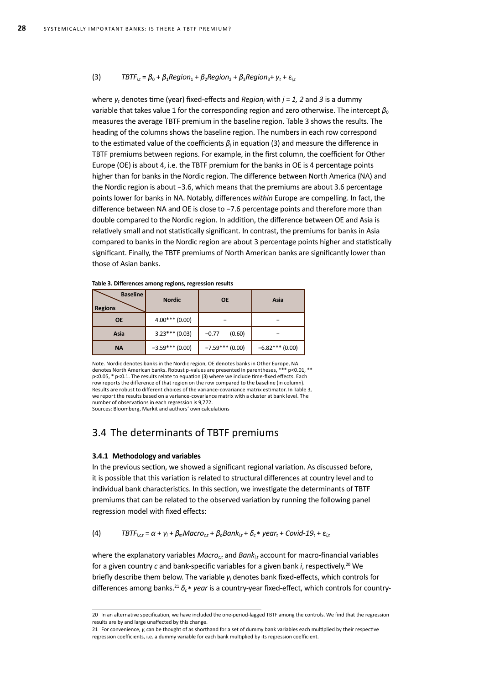#### (3)  $TBTF_{it} = \beta_0 + \beta_1 \text{Region}_1 + \beta_2 \text{Region}_2 + \beta_3 \text{Region}_3 + \gamma_t + \varepsilon_{it}$

where *yt* denotes time (year) fixed-effects and *Region<sup>j</sup>* with *j* = *1, 2* and *3* is a dummy variable that takes value 1 for the corresponding region and zero otherwise. The intercept  $\beta_0$ measures the average TBTF premium in the baseline region. Table 3 shows the results. The heading of the columns shows the baseline region. The numbers in each row correspond to the estimated value of the coefficients  $\beta_j$  in equation (3) and measure the difference in TBTF premiums between regions. For example, in the first column, the coefficient for Other Europe (OE) is about 4, i.e. the TBTF premium for the banks in OE is 4 percentage points higher than for banks in the Nordic region. The difference between North America (NA) and the Nordic region is about −3.6, which means that the premiums are about 3.6 percentage points lower for banks in NA. Notably, differences *within* Europe are compelling. In fact, the difference between NA and OE is close to −7.6 percentage points and therefore more than double compared to the Nordic region. In addition, the difference between OE and Asia is relatively small and not statistically significant. In contrast, the premiums for banks in Asia compared to banks in the Nordic region are about 3 percentage points higher and statistically significant. Finally, the TBTF premiums of North American banks are significantly lower than those of Asian banks.

| <b>Baseline</b><br><b>Regions</b> | <b>Nordic</b>    | <b>OE</b>         | Asia              |
|-----------------------------------|------------------|-------------------|-------------------|
| <b>OE</b>                         | $4.00***(0.00)$  |                   |                   |
| Asia                              | $3.23***(0.03)$  | (0.60)<br>$-0.77$ |                   |
| <b>NA</b>                         | $-3.59***(0.00)$ | $-7.59***(0.00)$  | $-6.82***$ (0.00) |

**Table 3. Differences among regions, regression results**

Note. Nordic denotes banks in the Nordic region, OE denotes banks in Other Europe, NA<br>denotes North American banks. Robust p-values are presented in parentheses. \*\*\* p<0.01. \*\* denotes North American banks. Robust p-values are presented in parentheses, \* p<0.05, \* p<0.1. The results relate to equation (3) where we include time-fixed effects. Each row reports the difference of that region on the row compared to the baseline (in column). Results are robust to different choices of the variance-covariance matrix estimator. In Table 3, we report the results based on a variance-covariance matrix with a cluster at bank level. The number of observations in each regression is 9,772.

Sources: Bloomberg, Markit and authors' own calculations

## 3.4 The determinants of TBTF premiums

#### **3.4.1 Methodology and variables**

In the previous section, we showed a significant regional variation. As discussed before, it is possible that this variation is related to structural differences at country level and to individual bank characteristics. In this section, we investigate the determinants of TBTF premiums that can be related to the observed variation by running the following panel regression model with fixed effects:

(4)  $TBTF_{i,ct} = \alpha + \gamma_i + \beta_m Maccr_{c,t} + \beta_b Bank_{i,t} + \delta_c * year_t + Covid-19_t + \epsilon_{i,t}$ 

where the explanatory variables *Macro<sub>ct</sub>* and *Bank<sub>it</sub>* account for macro-financial variables for a given country *c* and bank-specific variables for a given bank *i*, respectively.20 We briefly describe them below. The variable *γ<sub>i</sub>* denotes bank fixed-effects, which controls for differences among banks.21 *δc* \* *year* is a country-year fixed-effect, which controls for country-

<sup>20</sup> In an alternative specification, we have included the one-period-lagged TBTF among the controls. We find that the regression results are by and large unaffected by this change.

<sup>21</sup> For convenience, *γ*<sub>*i*</sub> can be thought of as shorthand for a set of dummy bank variables each multiplied by their respective regression coefficients, i.e. a dummy variable for each bank multiplied by its regression coefficient.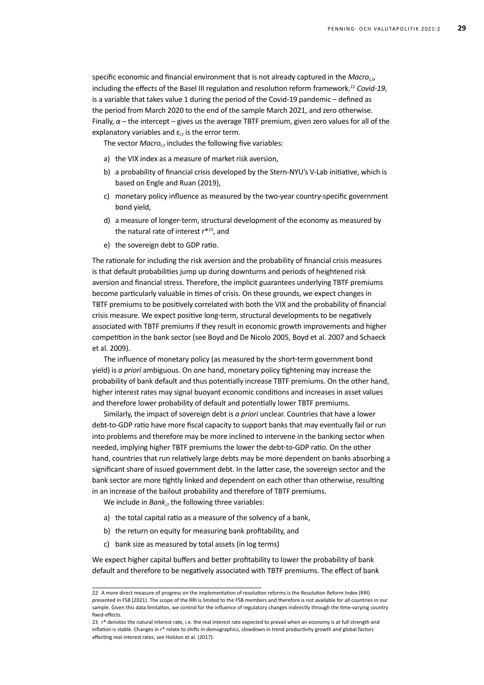specific economic and financial environment that is not already captured in the *Macro*<sub>ct</sub>, including the effects of the Basel III regulation and resolution reform framework.<sup>22</sup> *Covid-19*<sup>*t*</sup> is a variable that takes value 1 during the period of the Covid-19 pandemic – defined as the period from March 2020 to the end of the sample March 2021, and zero otherwise. Finally,  $\alpha$  – the intercept – gives us the average TBTF premium, given zero values for all of the explanatory variables and  $\varepsilon_{i,t}$  is the error term.

The vector *Macro<sub>ct</sub>* includes the following five variables:

- a) the VIX index as a measure of market risk aversion,
- b) a probability of financial crisis developed by the Stern-NYU's V-Lab initiative, which is based on Engle and Ruan (2019),
- c) monetary policy influence as measured by the two-year country-specific government bond yield,
- d) a measure of longer-term, structural development of the economy as measured by the natural rate of interest r\*23, and
- e) the sovereign debt to GDP ratio.

The rationale for including the risk aversion and the probability of financial crisis measures is that default probabilities jump up during downturns and periods of heightened risk aversion and financial stress. Therefore, the implicit guarantees underlying TBTF premiums become particularly valuable in times of crisis. On these grounds, we expect changes in TBTF premiums to be positively correlated with both the VIX and the probability of financial crisis measure. We expect positive long-term, structural developments to be negatively associated with TBTF premiums if they result in economic growth improvements and higher competition in the bank sector (see Boyd and De Nicolo 2005, Boyd et al. 2007 and Schaeck et al. 2009).

The influence of monetary policy (as measured by the short-term government bond yield) is *a priori* ambiguous. On one hand, monetary policy tightening may increase the probability of bank default and thus potentially increase TBTF premiums. On the other hand, higher interest rates may signal buoyant economic conditions and increases in asset values and therefore lower probability of default and potentially lower TBTF premiums.

Similarly, the impact of sovereign debt is *a priori* unclear. Countries that have a lower debt-to-GDP ratio have more fiscal capacity to support banks that may eventually fail or run into problems and therefore may be more inclined to intervene in the banking sector when needed, implying higher TBTF premiums the lower the debt-to-GDP ratio. On the other hand, countries that run relatively large debts may be more dependent on banks absorbing a significant share of issued government debt. In the latter case, the sovereign sector and the bank sector are more tightly linked and dependent on each other than otherwise, resulting in an increase of the bailout probability and therefore of TBTF premiums.

We include in *Bank*<sub>it</sub> the following three variables:

- a) the total capital ratio as a measure of the solvency of a bank,
- b) the return on equity for measuring bank profitability, and
- c) bank size as measured by total assets (in log terms)

We expect higher capital buffers and better profitability to lower the probability of bank default and therefore to be negatively associated with TBTF premiums. The effect of bank

<sup>22</sup> A more direct measure of progress on the implementation of resolution reforms is the Resolution Reform Index (RRI) presented in FSB (2021). The scope of the RRI is limited to the FSB members and therefore is not available for all countries in our sample. Given this data limitation, we control for the influence of regulatory changes indirectly through the time-varying country fixed-effects.

<sup>23</sup> r<sup>\*</sup> denotes the natural interest rate, i.e. the real interest rate expected to prevail when an economy is at full strength and inflation is stable. Changes in r\* relate to shifts in demographics, slowdown in trend productivity growth and global factors affecting real interest rates, see Holston et al. (2017).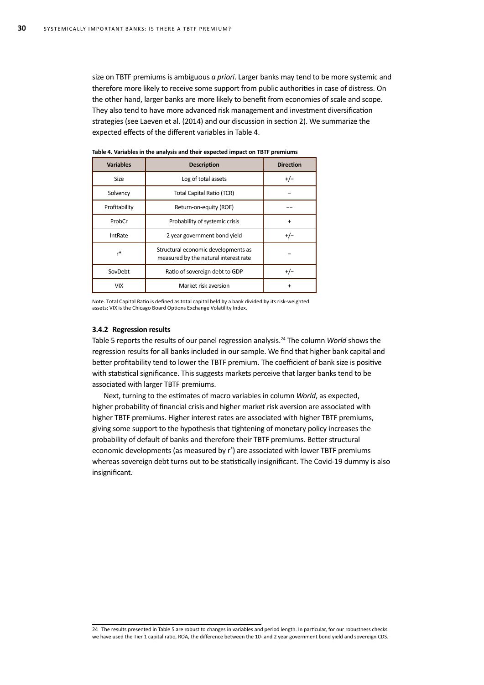size on TBTF premiums is ambiguous *a priori*. Larger banks may tend to be more systemic and therefore more likely to receive some support from public authorities in case of distress. On the other hand, larger banks are more likely to benefit from economies of scale and scope. They also tend to have more advanced risk management and investment diversification strategies (see Laeven et al. (2014) and our discussion in section 2). We summarize the expected effects of the different variables in Table 4.

| <b>Variables</b> | <b>Description</b>                                                           | <b>Direction</b> |
|------------------|------------------------------------------------------------------------------|------------------|
| <b>Size</b>      | Log of total assets                                                          | $+/-$            |
| Solvency         | <b>Total Capital Ratio (TCR)</b>                                             |                  |
| Profitability    | Return-on-equity (ROE)                                                       |                  |
| ProbCr           | Probability of systemic crisis                                               | $\ddot{}$        |
| <b>IntRate</b>   | 2 year government bond yield                                                 | $+/-$            |
| r*               | Structural economic developments as<br>measured by the natural interest rate |                  |
| SovDebt          | Ratio of sovereign debt to GDP                                               | $+/-$            |
| <b>VIX</b>       | Market risk aversion                                                         | +                |

**Table 4. Variables in the analysis and their expected impact on TBTF premiums** 

Note. Total Capital Ratio is defined as total capital held by a bank divided by its risk-weighted assets; VIX is the Chicago Board Options Exchange Volatility Index.

#### **3.4.2 Regression results**

Table 5 reports the results of our panel regression analysis.<sup>24</sup> The column *World* shows the regression results for all banks included in our sample. We find that higher bank capital and better profitability tend to lower the TBTF premium. The coefficient of bank size is positive with statistical significance. This suggests markets perceive that larger banks tend to be associated with larger TBTF premiums.

Next, turning to the estimates of macro variables in column *World*, as expected, higher probability of financial crisis and higher market risk aversion are associated with higher TBTF premiums. Higher interest rates are associated with higher TBTF premiums, giving some support to the hypothesis that tightening of monetary policy increases the probability of default of banks and therefore their TBTF premiums. Better structural economic developments (as measured by r\* ) are associated with lower TBTF premiums whereas sovereign debt turns out to be statistically insignificant. The Covid-19 dummy is also insignificant.

24 The results presented in Table 5 are robust to changes in variables and period length. In particular, for our robustness checks we have used the Tier 1 capital ratio, ROA, the difference between the 10- and 2 year government bond yield and sovereign CDS.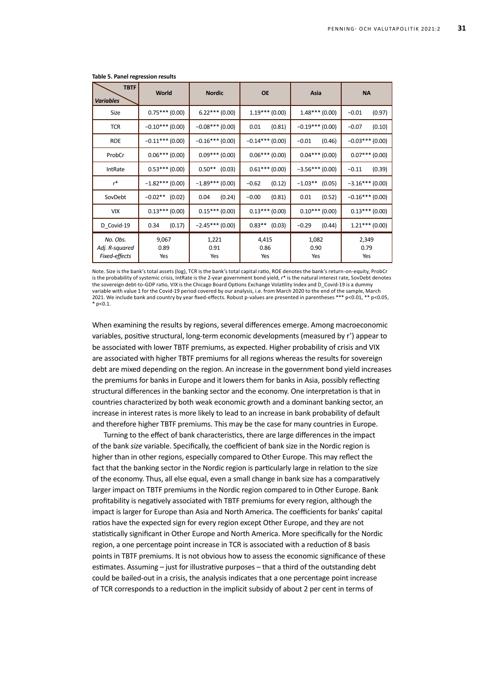| <b>TBTF</b><br><b>Variables</b>             | World                | <b>Nordic</b>        | <b>OE</b>            | Asia                 | <b>NA</b>            |
|---------------------------------------------|----------------------|----------------------|----------------------|----------------------|----------------------|
| Size                                        | $0.75***(0.00)$      | $6.22***(0.00)$      | $1.19***(0.00)$      | $1.48***(0.00)$      | $-0.01$<br>(0.97)    |
| <b>TCR</b>                                  | $-0.10***$ (0.00)    | $-0.08$ *** (0.00)   | (0.81)<br>0.01       | $-0.19***$ (0.00)    | $-0.07$<br>(0.10)    |
| <b>ROE</b>                                  | $-0.11***$ (0.00)    | $-0.16***(0.00)$     | $-0.14***$ (0.00)    | (0.46)<br>$-0.01$    | $-0.03***(0.00)$     |
| ProbCr                                      | $0.06***(0.00)$      | $0.09***(0.00)$      | $0.06***(0.00)$      | $0.04***(0.00)$      | $0.07***(0.00)$      |
| IntRate                                     | $0.53***(0.00)$      | $0.50**$ (0.03)      | $0.61***(0.00)$      | $-3.56***(0.00)$     | $-0.11$<br>(0.39)    |
| $r^*$                                       | $-1.82***(0.00)$     | $-1.89***(0.00)$     | $-0.62$<br>(0.12)    | $-1.03**$ (0.05)     | $-3.16***(0.00)$     |
| SovDebt                                     | $-0.02**$ (0.02)     | (0.24)<br>0.04       | $-0.00$<br>(0.81)    | 0.01<br>(0.52)       | $-0.16***(0.00)$     |
| <b>VIX</b>                                  | $0.13***(0.00)$      | $0.15***(0.00)$      | $0.13***(0.00)$      | $0.10***(0.00)$      | $0.13***(0.00)$      |
| D_Covid-19                                  | (0.17)<br>0.34       | $-2.45***(0.00)$     | $0.83**$ (0.03)      | $-0.29$<br>(0.44)    | $1.21***$ (0.00)     |
| No. Obs.<br>Adj. R-squared<br>Fixed-effects | 9,067<br>0.89<br>Yes | 1,221<br>0.91<br>Yes | 4,415<br>0.86<br>Yes | 1,082<br>0.90<br>Yes | 2,349<br>0.79<br>Yes |

#### **Table 5. Panel regression results**

Note. Size is the bank's total assets (log), TCR is the bank's total capital ratio, ROE denotes the bank's return-on-equity, ProbCr is the probability of systemic crisis, IntRate is the 2-year government bond yield, r\* is the natural interest rate, SovDebt denotes the sovereign debt-to-GDP ratio, VIX is the Chicago Board Options Exchange Volatility Index and D\_Covid-19 is a dummy variable with value 1 for the Covid-19 period covered by our analysis, i.e. from March 2020 to the end of the sample, March 2021. We include bank and country by year fixed-effects. Robust p-values are presented in parentheses \*\*\* p<0.01, \*\* p<0.05,  $*$  n<0.1.

When examining the results by regions, several differences emerge. Among macroeconomic variables, positive structural, long-term economic developments (measured by r\* ) appear to be associated with lower TBTF premiums, as expected. Higher probability of crisis and VIX are associated with higher TBTF premiums for all regions whereas the results for sovereign debt are mixed depending on the region. An increase in the government bond yield increases the premiums for banks in Europe and it lowers them for banks in Asia, possibly reflecting structural differences in the banking sector and the economy. One interpretation is that in countries characterized by both weak economic growth and a dominant banking sector, an increase in interest rates is more likely to lead to an increase in bank probability of default and therefore higher TBTF premiums. This may be the case for many countries in Europe.

Turning to the effect of bank characteristics, there are large differences in the impact of the bank *size* variable. Specifically, the coefficient of bank size in the Nordic region is higher than in other regions, especially compared to Other Europe. This may reflect the fact that the banking sector in the Nordic region is particularly large in relation to the size of the economy. Thus, all else equal, even a small change in bank size has a comparatively larger impact on TBTF premiums in the Nordic region compared to in Other Europe. Bank profitability is negatively associated with TBTF premiums for every region, although the impact is larger for Europe than Asia and North America. The coefficients for banks' capital ratios have the expected sign for every region except Other Europe, and they are not statistically significant in Other Europe and North America. More specifically for the Nordic region, a one percentage point increase in TCR is associated with a reduction of 8 basis points in TBTF premiums. It is not obvious how to assess the economic significance of these estimates. Assuming – just for illustrative purposes – that a third of the outstanding debt could be bailed-out in a crisis, the analysis indicates that a one percentage point increase of TCR corresponds to a reduction in the implicit subsidy of about 2 per cent in terms of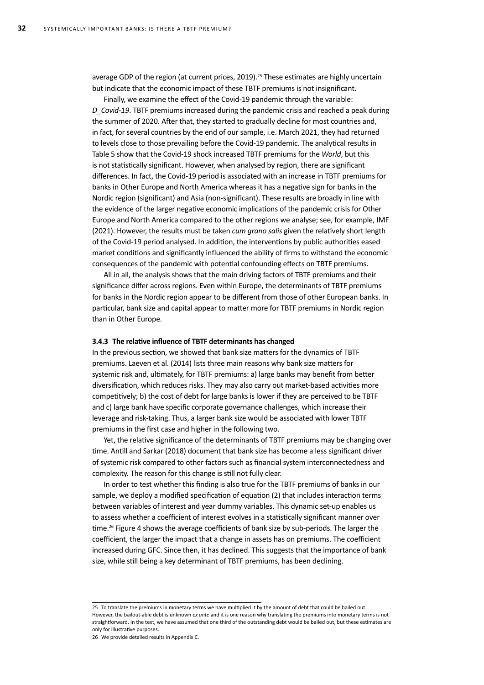average GDP of the region (at current prices, 2019).<sup>25</sup> These estimates are highly uncertain but indicate that the economic impact of these TBTF premiums is not insignificant.

Finally, we examine the effect of the Covid-19 pandemic through the variable: *D\_Covid-19*. TBTF premiums increased during the pandemic crisis and reached a peak during the summer of 2020. After that, they started to gradually decline for most countries and, in fact, for several countries by the end of our sample, i.e. March 2021, they had returned to levels close to those prevailing before the Covid-19 pandemic. The analytical results in Table 5 show that the Covid-19 shock increased TBTF premiums for the *World*, but this is not statistically significant. However, when analysed by region, there are significant differences. In fact, the Covid-19 period is associated with an increase in TBTF premiums for banks in Other Europe and North America whereas it has a negative sign for banks in the Nordic region (significant) and Asia (non-significant). These results are broadly in line with the evidence of the larger negative economic implications of the pandemic crisis for Other Europe and North America compared to the other regions we analyse; see, for example, IMF (2021). However, the results must be taken *cum grano salis* given the relatively short length of the Covid-19 period analysed. In addition, the interventions by public authorities eased market conditions and significantly influenced the ability of firms to withstand the economic consequences of the pandemic with potential confounding effects on TBTF premiums.

All in all, the analysis shows that the main driving factors of TBTF premiums and their significance differ across regions. Even within Europe, the determinants of TBTF premiums for banks in the Nordic region appear to be different from those of other European banks. In particular, bank size and capital appear to matter more for TBTF premiums in Nordic region than in Other Europe.

#### **3.4.3 The relative influence of TBTF determinants has changed**

In the previous section, we showed that bank size matters for the dynamics of TBTF premiums. Laeven et al. (2014) lists three main reasons why bank size matters for systemic risk and, ultimately, for TBTF premiums: a) large banks may benefit from better diversification, which reduces risks. They may also carry out market-based activities more competitively; b) the cost of debt for large banks is lower if they are perceived to be TBTF and c) large bank have specific corporate governance challenges, which increase their leverage and risk-taking. Thus, a larger bank size would be associated with lower TBTF premiums in the first case and higher in the following two.

Yet, the relative significance of the determinants of TBTF premiums may be changing over time. Antill and Sarkar (2018) document that bank size has become a less significant driver of systemic risk compared to other factors such as financial system interconnectedness and complexity. The reason for this change is still not fully clear.

In order to test whether this finding is also true for the TBTF premiums of banks in our sample, we deploy a modified specification of equation (2) that includes interaction terms between variables of interest and year dummy variables. This dynamic set-up enables us to assess whether a coefficient of interest evolves in a statistically significant manner over time.<sup>26</sup> Figure 4 shows the average coefficients of bank size by sub-periods. The larger the coefficient, the larger the impact that a change in assets has on premiums. The coefficient increased during GFC. Since then, it has declined. This suggests that the importance of bank size, while still being a key determinant of TBTF premiums, has been declining.

<sup>25</sup> To translate the premiums in monetary terms we have multiplied it by the amount of debt that could be bailed out. However, the bailout-able debt is unknown *ex ante* and it is one reason why translating the premiums into monetary terms is not straightforward. In the text, we have assumed that one third of the outstanding debt would be bailed out, but these estimates are only for illustrative purposes.

<sup>26</sup> We provide detailed results in Appendix C.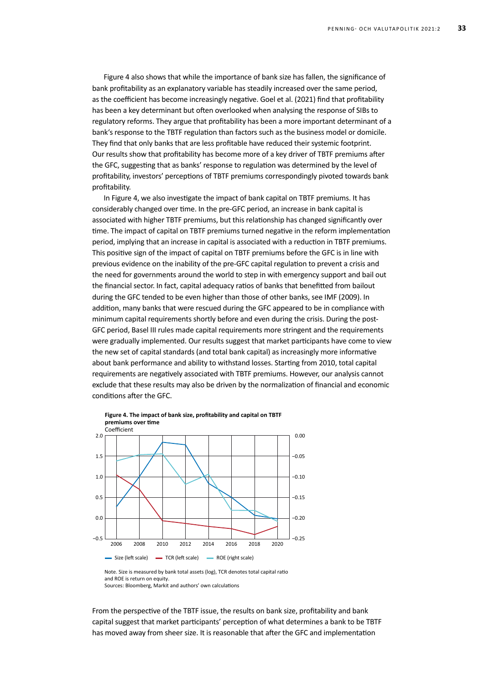Figure 4 also shows that while the importance of bank size has fallen, the significance of bank profitability as an explanatory variable has steadily increased over the same period, as the coefficient has become increasingly negative. Goel et al. (2021) find that profitability has been a key determinant but often overlooked when analysing the response of SIBs to regulatory reforms. They argue that profitability has been a more important determinant of a bank's response to the TBTF regulation than factors such as the business model or domicile. They find that only banks that are less profitable have reduced their systemic footprint. Our results show that profitability has become more of a key driver of TBTF premiums after the GFC, suggesting that as banks' response to regulation was determined by the level of profitability, investors' perceptions of TBTF premiums correspondingly pivoted towards bank profitability.

In Figure 4, we also investigate the impact of bank capital on TBTF premiums. It has considerably changed over time. In the pre-GFC period, an increase in bank capital is associated with higher TBTF premiums, but this relationship has changed significantly over time. The impact of capital on TBTF premiums turned negative in the reform implementation period, implying that an increase in capital is associated with a reduction in TBTF premiums. This positive sign of the impact of capital on TBTF premiums before the GFC is in line with previous evidence on the inability of the pre-GFC capital regulation to prevent a crisis and the need for governments around the world to step in with emergency support and bail out the financial sector. In fact, capital adequacy ratios of banks that benefitted from bailout during the GFC tended to be even higher than those of other banks, see IMF (2009). In addition, many banks that were rescued during the GFC appeared to be in compliance with minimum capital requirements shortly before and even during the crisis. During the post-GFC period, Basel III rules made capital requirements more stringent and the requirements were gradually implemented. Our results suggest that market participants have come to view the new set of capital standards (and total bank capital) as increasingly more informative about bank performance and ability to withstand losses. Starting from 2010, total capital requirements are negatively associated with TBTF premiums. However, our analysis cannot exclude that these results may also be driven by the normalization of financial and economic conditions after the GFC.



Sources: Bloomberg, Markit and authors' own calculations

From the perspective of the TBTF issue, the results on bank size, profitability and bank capital suggest that market participants' perception of what determines a bank to be TBTF has moved away from sheer size. It is reasonable that after the GFC and implementation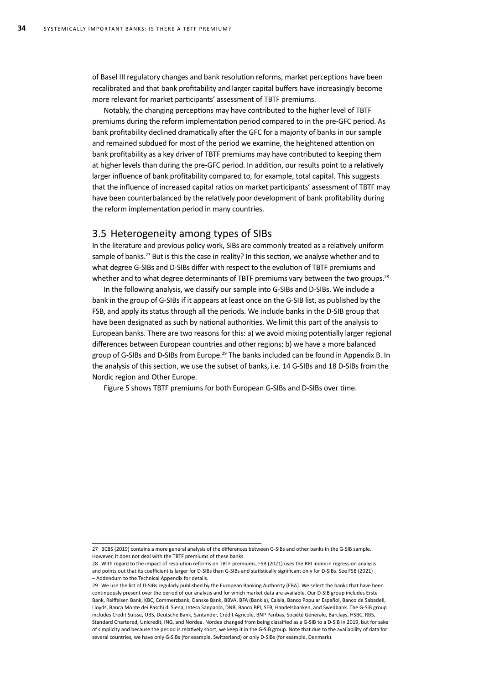of Basel III regulatory changes and bank resolution reforms, market perceptions have been recalibrated and that bank profitability and larger capital buffers have increasingly become more relevant for market participants' assessment of TBTF premiums.

Notably, the changing perceptions may have contributed to the higher level of TBTF premiums during the reform implementation period compared to in the pre-GFC period. As bank profitability declined dramatically after the GFC for a majority of banks in our sample and remained subdued for most of the period we examine, the heightened attention on bank profitability as a key driver of TBTF premiums may have contributed to keeping them at higher levels than during the pre-GFC period. In addition, our results point to a relatively larger influence of bank profitability compared to, for example, total capital. This suggests that the influence of increased capital ratios on market participants' assessment of TBTF may have been counterbalanced by the relatively poor development of bank profitability during the reform implementation period in many countries.

### 3.5 Heterogeneity among types of SIBs

In the literature and previous policy work, SIBs are commonly treated as a relatively uniform sample of banks.<sup>27</sup> But is this the case in reality? In this section, we analyse whether and to what degree G-SIBs and D-SIBs differ with respect to the evolution of TBTF premiums and whether and to what degree determinants of TBTF premiums vary between the two groups.<sup>28</sup>

In the following analysis, we classify our sample into G-SIBs and D-SIBs. We include a bank in the group of G-SIBs if it appears at least once on the G-SIB list, as published by the FSB, and apply its status through all the periods. We include banks in the D-SIB group that have been designated as such by national authorities. We limit this part of the analysis to European banks. There are two reasons for this: a) we avoid mixing potentially larger regional differences between European countries and other regions; b) we have a more balanced group of G-SIBs and D-SIBs from Europe.<sup>29</sup> The banks included can be found in Appendix B. In the analysis of this section, we use the subset of banks, i.e. 14 G-SIBs and 18 D-SIBs from the Nordic region and Other Europe.

Figure 5 shows TBTF premiums for both European G-SIBs and D-SIBs over time.

<sup>27</sup> BCBS (2019) contains a more general analysis of the differences between G-SIBs and other banks in the G-SIB sample. However, it does not deal with the TBTF premiums of these banks.

<sup>28</sup> With regard to the impact of resolution reforms on TBTF premiums, FSB (2021) uses the RRI index in regression analysis and points out that its coefficient is larger for D-SIBs than G-SIBs and statistically significant only for D-SIBs. See FSB (2021) – Addendum to the Technical Appendix for details.

<sup>29</sup> We use the list of D-SIBs regularly published by the European Banking Authority (EBA). We select the banks that have been continuously present over the period of our analysis and for which market data are available. Our D-SIB group includes Erste Bank, Raiffeisen Bank, KBC, Commerzbank, Danske Bank, BBVA, BFA (Bankia), Caixia, Banco Popular Español, Banco de Sabadell, Lloyds, Banca Monte dei Paschi di Siena, Intesa Sanpaolo, DNB, Banco BPI, SEB, Handelsbanken, and Swedbank. The G-SIB group includes Credit Suisse, UBS, Deutsche Bank, Santander, Crédit Agricole, BNP Paribas, Société Générale, Barclays, HSBC, RBS, Standard Chartered, Unicredit, ING, and Nordea. Nordea changed from being classified as a G-SIB to a D-SIB in 2019, but for sake of simplicity and because the period is relatively short, we keep it in the G-SIB group. Note that due to the availability of data for several countries, we have only G-SIBs (for example, Switzerland) or only D-SIBs (for example, Denmark).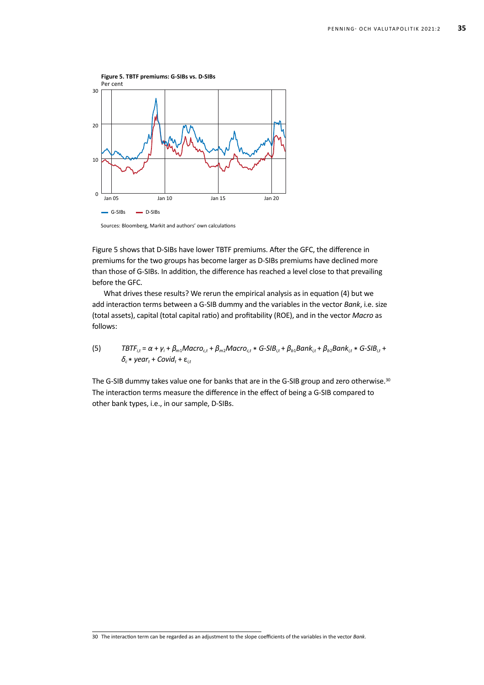

Sources: Bloomberg, Markit and authors' own calculations

Figure 5 shows that D-SIBs have lower TBTF premiums. After the GFC, the difference in premiums for the two groups has become larger as D-SIBs premiums have declined more than those of G-SIBs. In addition, the difference has reached a level close to that prevailing before the GFC.

What drives these results? We rerun the empirical analysis as in equation (4) but we add interaction terms between a G-SIB dummy and the variables in the vector *Bank*, i.e. size (total assets), capital (total capital ratio) and profitability (ROE), and in the vector *Macro* as follows:

(5) 
$$
\text{TBTF}_{it} = \alpha + \gamma_i + \beta_{m1} \text{Macro}_{ct} + \beta_{m2} \text{Macro}_{ct} * G-SIB_{it} + \beta_{b1} \text{Bank}_{it} + \beta_{b2} \text{Bank}_{it} * G-SIB_{it} + \delta_c * \text{year}_t + \text{Covid}_t + \epsilon_{it}
$$

The G-SIB dummy takes value one for banks that are in the G-SIB group and zero otherwise.<sup>30</sup> The interaction terms measure the difference in the effect of being a G-SIB compared to other bank types, i.e., in our sample, D-SIBs.

<sup>30</sup> The interaction term can be regarded as an adjustment to the slope coefficients of the variables in the vector *Bank*.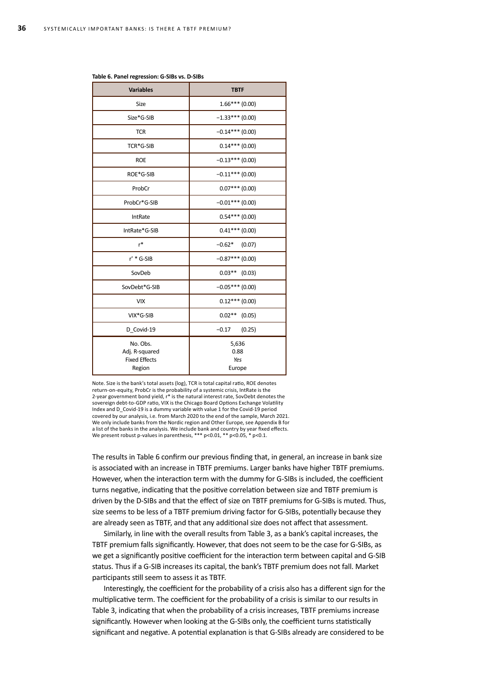| <b>Variables</b>                                             | <b>TBTF</b>                    |  |  |
|--------------------------------------------------------------|--------------------------------|--|--|
| Size                                                         | $1.66***(0.00)$                |  |  |
| Size*G-SIB                                                   | $-1.33***(0.00)$               |  |  |
| <b>TCR</b>                                                   | $-0.14***$ (0.00)              |  |  |
| TCR*G-SIB                                                    | $0.14***$ (0.00)               |  |  |
| <b>ROE</b>                                                   | $-0.13***(0.00)$               |  |  |
| ROE*G-SIB                                                    | $-0.11***$ (0.00)              |  |  |
| ProbCr                                                       | $0.07***(0.00)$                |  |  |
| ProbCr*G-SIB                                                 | $-0.01***$ (0.00)              |  |  |
| IntRate                                                      | $0.54***(0.00)$                |  |  |
| IntRate*G-SIB                                                | $0.41***$ (0.00)               |  |  |
| $r^*$                                                        | $-0.62*$<br>(0.07)             |  |  |
| $r^*$ * G-SIB                                                | $-0.87***$ (0.00)              |  |  |
| SovDeb                                                       | $0.03***$ (0.03)               |  |  |
| SovDebt*G-SIB                                                | $-0.05***(0.00)$               |  |  |
| <b>VIX</b>                                                   | $0.12***$ (0.00)               |  |  |
| VIX*G-SIB                                                    | $0.02**$ (0.05)                |  |  |
| D Covid-19                                                   | $-0.17$<br>(0.25)              |  |  |
| No. Obs.<br>Adj. R-squared<br><b>Fixed Effects</b><br>Region | 5,636<br>0.88<br>Yes<br>Europe |  |  |

#### **Table 6. Panel regression: G-SIBs vs. D-SIBs**

Note. Size is the bank's total assets (log), TCR is total capital ratio, ROE denotes return-on-equity, ProbCr is the probability of a systemic crisis, IntRate is the 2-year government bond yield, r\* is the natural interest rate, SovDebt denotes the sovereign debt-to-GDP ratio, VIX is the Chicago Board Options Exchange Volatility Index and D\_Covid-19 is a dummy variable with value 1 for the Covid-19 period covered by our analysis, i.e. from March 2020 to the end of the sample, March 2021. We only include banks from the Nordic region and Other Europe, see Appendix B for a list of the banks in the analysis. We include bank and country by year fixed effects. We present robust p-values in parenthesis, \*\*\* p<0.01, \*\* p<0.05, \* p<0.1.

The results in Table 6 confirm our previous finding that, in general, an increase in bank size is associated with an increase in TBTF premiums. Larger banks have higher TBTF premiums. However, when the interaction term with the dummy for G-SIBs is included, the coefficient turns negative, indicating that the positive correlation between size and TBTF premium is driven by the D-SIBs and that the effect of size on TBTF premiums for G-SIBs is muted. Thus, size seems to be less of a TBTF premium driving factor for G-SIBs, potentially because they are already seen as TBTF, and that any additional size does not affect that assessment.

Similarly, in line with the overall results from Table 3, as a bank's capital increases, the TBTF premium falls significantly. However, that does not seem to be the case for G-SIBs, as we get a significantly positive coefficient for the interaction term between capital and G-SIB status. Thus if a G-SIB increases its capital, the bank's TBTF premium does not fall. Market participants still seem to assess it as TBTF.

Interestingly, the coefficient for the probability of a crisis also has a different sign for the multiplicative term. The coefficient for the probability of a crisis is similar to our results in Table 3, indicating that when the probability of a crisis increases, TBTF premiums increase significantly. However when looking at the G-SIBs only, the coefficient turns statistically significant and negative. A potential explanation is that G-SIBs already are considered to be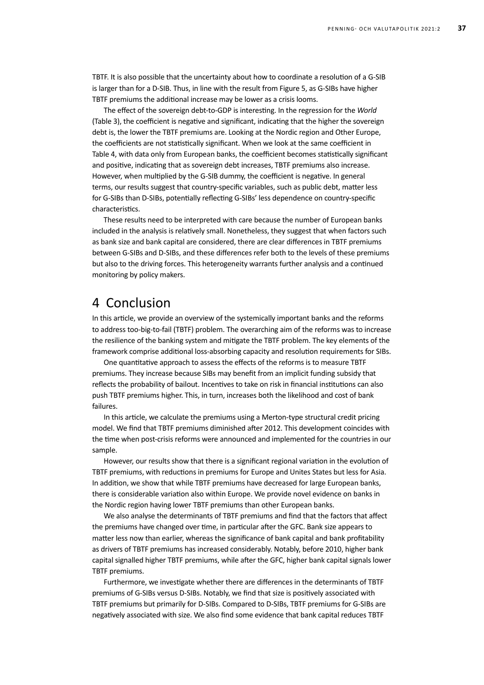TBTF. It is also possible that the uncertainty about how to coordinate a resolution of a G-SIB is larger than for a D-SIB. Thus, in line with the result from Figure 5, as G-SIBs have higher TBTF premiums the additional increase may be lower as a crisis looms.

The effect of the sovereign debt-to-GDP is interesting. In the regression for the *World* (Table 3), the coefficient is negative and significant, indicating that the higher the sovereign debt is, the lower the TBTF premiums are. Looking at the Nordic region and Other Europe, the coefficients are not statistically significant. When we look at the same coefficient in Table 4, with data only from European banks, the coefficient becomes statistically significant and positive, indicating that as sovereign debt increases, TBTF premiums also increase. However, when multiplied by the G-SIB dummy, the coefficient is negative. In general terms, our results suggest that country-specific variables, such as public debt, matter less for G-SIBs than D-SIBs, potentially reflecting G-SIBs' less dependence on country-specific characteristics.

These results need to be interpreted with care because the number of European banks included in the analysis is relatively small. Nonetheless, they suggest that when factors such as bank size and bank capital are considered, there are clear differences in TBTF premiums between G-SIBs and D-SIBs, and these differences refer both to the levels of these premiums but also to the driving forces. This heterogeneity warrants further analysis and a continued monitoring by policy makers.

## 4 Conclusion

In this article, we provide an overview of the systemically important banks and the reforms to address too-big-to-fail (TBTF) problem. The overarching aim of the reforms was to increase the resilience of the banking system and mitigate the TBTF problem. The key elements of the framework comprise additional loss-absorbing capacity and resolution requirements for SIBs.

One quantitative approach to assess the effects of the reforms is to measure TBTF premiums. They increase because SIBs may benefit from an implicit funding subsidy that reflects the probability of bailout. Incentives to take on risk in financial institutions can also push TBTF premiums higher. This, in turn, increases both the likelihood and cost of bank failures.

In this article, we calculate the premiums using a Merton-type structural credit pricing model. We find that TBTF premiums diminished after 2012. This development coincides with the time when post-crisis reforms were announced and implemented for the countries in our sample.

However, our results show that there is a significant regional variation in the evolution of TBTF premiums, with reductions in premiums for Europe and Unites States but less for Asia. In addition, we show that while TBTF premiums have decreased for large European banks, there is considerable variation also within Europe. We provide novel evidence on banks in the Nordic region having lower TBTF premiums than other European banks.

We also analyse the determinants of TBTF premiums and find that the factors that affect the premiums have changed over time, in particular after the GFC. Bank size appears to matter less now than earlier, whereas the significance of bank capital and bank profitability as drivers of TBTF premiums has increased considerably. Notably, before 2010, higher bank capital signalled higher TBTF premiums, while after the GFC, higher bank capital signals lower TBTF premiums.

Furthermore, we investigate whether there are differences in the determinants of TBTF premiums of G-SIBs versus D-SIBs. Notably, we find that size is positively associated with TBTF premiums but primarily for D-SIBs. Compared to D-SIBs, TBTF premiums for G-SIBs are negatively associated with size. We also find some evidence that bank capital reduces TBTF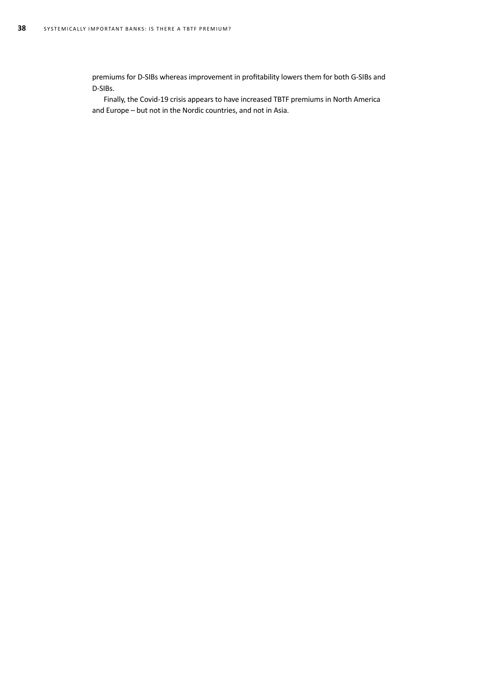premiums for D-SIBs whereas improvement in profitability lowers them for both G-SIBs and D-SIBs.

Finally, the Covid-19 crisis appears to have increased TBTF premiums in North America and Europe – but not in the Nordic countries, and not in Asia.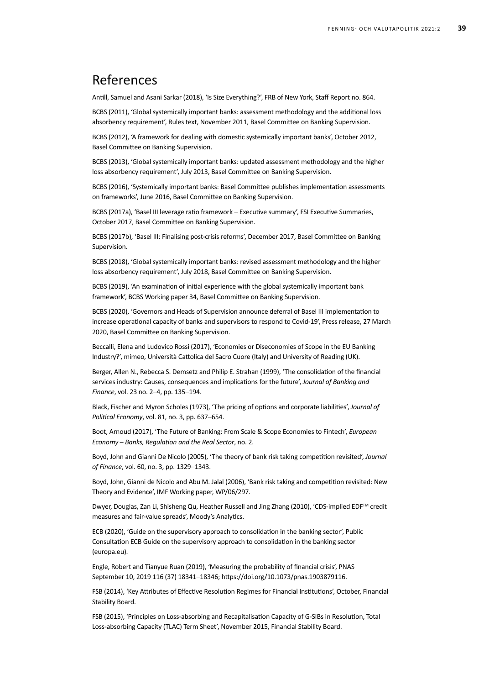## References

Antill, Samuel and Asani Sarkar (2018), 'Is Size Everything?', FRB of New York, Staff Report no. 864.

BCBS (2011), 'Global systemically important banks: assessment methodology and the additional loss absorbency requirement', Rules text, November 2011, Basel Committee on Banking Supervision.

BCBS (2012), 'A framework for dealing with domestic systemically important banks', October 2012, Basel Committee on Banking Supervision.

BCBS (2013), 'Global systemically important banks: updated assessment methodology and the higher loss absorbency requirement', July 2013, Basel Committee on Banking Supervision.

BCBS (2016), 'Systemically important banks: Basel Committee publishes implementation assessments on frameworks', June 2016, Basel Committee on Banking Supervision.

BCBS (2017a), 'Basel III leverage ratio framework – Executive summary', FSI Executive Summaries, October 2017, Basel Committee on Banking Supervision.

BCBS (2017b), 'Basel III: Finalising post-crisis reforms', December 2017, Basel Committee on Banking Supervision.

BCBS (2018), 'Global systemically important banks: revised assessment methodology and the higher loss absorbency requirement', July 2018, Basel Committee on Banking Supervision.

BCBS (2019), 'An examination of initial experience with the global systemically important bank framework', BCBS Working paper 34, Basel Committee on Banking Supervision.

BCBS (2020), 'Governors and Heads of Supervision announce deferral of Basel III implementation to increase operational capacity of banks and supervisors to respond to Covid-19', Press release, 27 March 2020, Basel Committee on Banking Supervision.

Beccalli, Elena and Ludovico Rossi (2017), 'Economies or Diseconomies of Scope in the EU Banking Industry?', mimeo, Università Cattolica del Sacro Cuore (Italy) and University of Reading (UK).

Berger, Allen N., Rebecca S. Demsetz and Philip E. Strahan (1999), 'The consolidation of the financial services industry: Causes, consequences and implications for the future', *Journal of Banking and Finance*, vol. 23 no. 2–4, pp. 135–194.

Black, Fischer and Myron Scholes (1973), 'The pricing of options and corporate liabilities', *Journal of Political Economy*, vol. 81, no. 3, pp. 637–654.

Boot, Arnoud (2017), 'The Future of Banking: From Scale & Scope Economies to Fintech', *European Economy – Banks, Regulation and the Real Sector*, no. 2.

Boyd, John and Gianni De Nicolo (2005), 'The theory of bank risk taking competition revisited', *Journal of Finance*, vol. 60, no. 3, pp. 1329–1343.

Boyd, John, Gianni de Nicolo and Abu M. Jalal (2006), 'Bank risk taking and competition revisited: New Theory and Evidence', IMF Working paper, WP/06/297.

Dwyer, Douglas, Zan Li, Shisheng Qu, Heather Russell and Jing Zhang (2010), 'CDS-implied EDF™ credit measures and fair-value spreads', Moody's Analytics.

ECB (2020), 'Guide on the supervisory approach to consolidation in the banking sector', Public Consultation [ECB Guide on the supervisory approach to consolidation in the banking sector](https://www.bankingsupervision.europa.eu/legalframework/publiccons/html/consolidation.en.html)  [\(europa.eu\)](https://www.bankingsupervision.europa.eu/legalframework/publiccons/html/consolidation.en.html).

Engle, Robert and Tianyue Ruan (2019), 'Measuring the probability of financial crisis', PNAS September 10, 2019 116 (37) 18341–18346; [https://doi.org/10.1073/pnas.1903879116.](https://doi.org/10.1073/pnas.1903879116)

FSB (2014), 'Key Attributes of Effective Resolution Regimes for Financial Institutions', October, Financial Stability Board.

FSB (2015), 'Principles on Loss-absorbing and Recapitalisation Capacity of G-SIBs in Resolution, Total Loss-absorbing Capacity (TLAC) Term Sheet', November 2015, Financial Stability Board.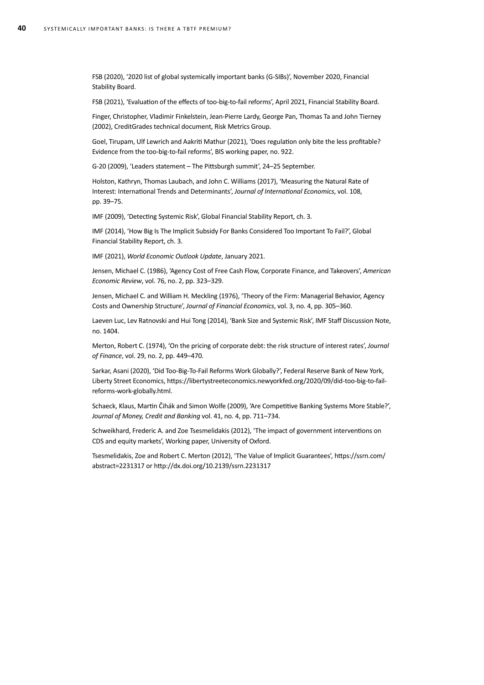FSB (2020), '2020 list of global systemically important banks (G-SIBs)', November 2020, Financial Stability Board.

FSB (2021), 'Evaluation of the effects of too-big-to-fail reforms', April 2021, Financial Stability Board.

Finger, Christopher, Vladimir Finkelstein, Jean-Pierre Lardy, George Pan, Thomas Ta and John Tierney (2002), CreditGrades technical document, Risk Metrics Group.

Goel, Tirupam, Ulf Lewrich and Aakriti Mathur (2021), 'Does regulation only bite the less profitable? Evidence from the too-big-to-fail reforms', BIS working paper, no. 922.

G-20 (2009), 'Leaders statement – The Pittsburgh summit', 24–25 September.

Holston, Kathryn, Thomas Laubach, and John C. Williams (2017), 'Measuring the Natural Rate of Interest: International Trends and Determinants', *Journal of International Economics*, vol. 108, pp. 39–75.

IMF (2009), 'Detecting Systemic Risk', Global Financial Stability Report, ch. 3.

IMF (2014), 'How Big Is The Implicit Subsidy For Banks Considered Too Important To Fail?', Global Financial Stability Report, ch. 3.

IMF (2021), *World Economic Outlook Update*, January 2021.

Jensen, Michael C. (1986), 'Agency Cost of Free Cash Flow, Corporate Finance, and Takeovers', *American Economic Review*, vol. 76, no. 2, pp. 323–329.

Jensen, Michael C. and William H. Meckling (1976), 'Theory of the Firm: Managerial Behavior, Agency Costs and Ownership Structure', *Journal of Financial Economics*, vol. 3, no. 4, pp. 305–360.

Laeven Luc, Lev Ratnovski and Hui Tong (2014), 'Bank Size and Systemic Risk', IMF Staff Discussion Note, no. 1404.

Merton, Robert C. (1974), 'On the pricing of corporate debt: the risk structure of interest rates', *Journal of Finance*, vol. 29, no. 2, pp. 449–470.

Sarkar, Asani (2020), 'Did Too-Big-To-Fail Reforms Work Globally?', Federal Reserve Bank of New York, Liberty Street Economics, [https://libertystreeteconomics.newyorkfed.org/2020/09/did-too-big-to-fail](https://libertystreeteconomics.newyorkfed.org/2020/09/did-too-big-to-fail-reforms-work-globally.html)[reforms-work-globally.html.](https://libertystreeteconomics.newyorkfed.org/2020/09/did-too-big-to-fail-reforms-work-globally.html)

Schaeck, Klaus, Martin Čihák and Simon Wolfe (2009), 'Are Competitive Banking Systems More Stable?', *Journal of Money, Credit and Banking* vol. 41, no. 4, pp. 711–734.

Schweikhard, Frederic A. and Zoe Tsesmelidakis (2012), 'The impact of government interventions on CDS and equity markets', Working paper, University of Oxford.

Tsesmelidakis, Zoe and Robert C. Merton (2012), 'The Value of Implicit Guarantees', https://ssrn.com/ abstract=2231317 or http://dx.doi.org/10.2139/ssrn.2231317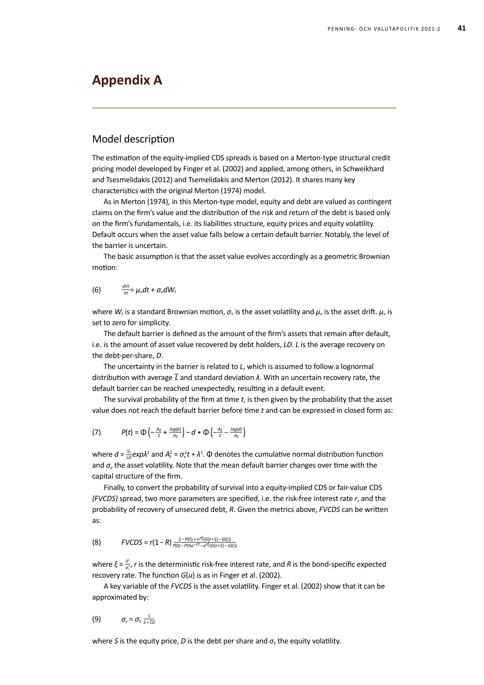## **Appendix A**

### Model description

The estimation of the equity-implied CDS spreads is based on a Merton-type structural credit pricing model developed by Finger et al. (2002) and applied, among others, in Schweikhard and Tsesmelidakis (2012) and Tsemelidakis and Merton (2012). It shares many key characteristics with the original Merton (1974) model.

As in Merton (1974), in this Merton-type model, equity and debt are valued as contingent claims on the firm's value and the distribution of the risk and return of the debt is based only on the firm's fundamentals, i.e. its liabilities structure, equity prices and equity volatility. Default occurs when the asset value falls below a certain default barrier. Notably, the level of the barrier is uncertain.

The basic assumption is that the asset value evolves accordingly as a geometric Brownian motion:

$$
(6) \qquad \frac{dVt}{Vt} = \mu_v dt + \sigma_v dW_t
$$

where  $W_t$  is a standard Brownian motion,  $\sigma_v$  is the asset volatility and  $\mu_v$  is the asset drift.  $\mu_v$  is set to zero for simplicity.

The default barrier is defined as the amount of the firm's assets that remain after default, i.e. is the amount of asset value recovered by debt holders, *LD*. *L* is the average recovery on the debt-per-share, *D*.

The uncertainty in the barrier is related to *L*, which is assumed to follow a lognormal distribution with average *‾L* and standard deviation *λ*. With an uncertain recovery rate, the default barrier can be reached unexpectedly, resulting in a default event.

The survival probability of the firm at time *t*, is then given by the probability that the asset value does not reach the default barrier before time *t* and can be expressed in closed form as:

(7) 
$$
P(t) = \Phi\left(-\frac{A_t}{2} + \frac{log(d)}{A_t}\right) - d * \Phi\left(-\frac{A_t}{2} - \frac{log(d)}{A_t}\right)
$$

where  $d = \frac{V_0}{L D} exp{\lambda^2}$  and  $A_t^2 = \sigma_v^2 t + \lambda^2$ .  $\Phi$  denotes the cumulative normal distribution function and  $\sigma_{v}$  the asset volatility. Note that the mean default barrier changes over time with the capital structure of the firm.

Finally, to convert the probability of survival into a equity-implied CDS or fair-value CDS *(FVCDS)* spread, two more parameters are specified, i.e. the risk-free interest rate *r*, and the probability of recovery of unsecured debt, *R*. Given the metrics above, *FVCDS* can be written as:

(8) 
$$
FVCDS = r(1 - R) \frac{1 - P(0) + e^{r\xi}(G(t + \xi) - G(\xi))}{P(0) - P(t)e^{-rt} - e^{r\xi}(G(t + \xi) - G(\xi))}
$$

where  $\xi = \frac{\lambda^2}{\sigma_r^2}$ , *r* is the deterministic risk-free interest rate, and *R* is the bond-specific expected recovery rate. The function *G*(*u*) is as in Finger et al. (2002).

A key variable of the *FVCDS* is the asset volatility. Finger et al. (2002) show that it can be approximated by:

$$
(9) \qquad \sigma_{v} = \sigma_{s} \frac{s}{s + \overline{\iota}D}
$$

where *S* is the equity price, *D* is the debt per share and  $\sigma_s$  the equity volatility.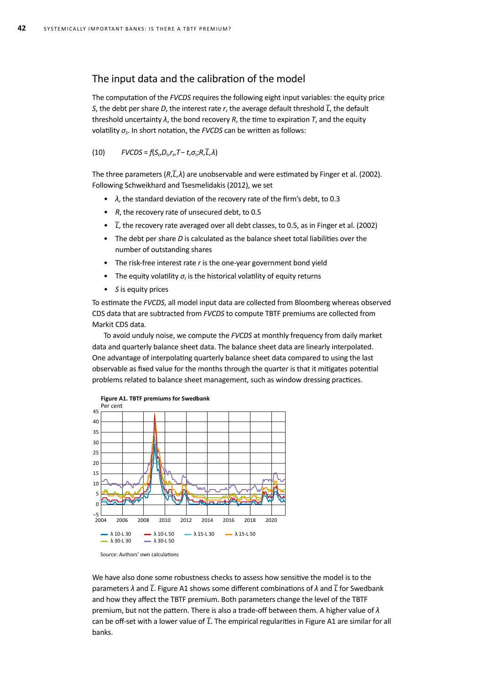## The input data and the calibration of the model

The computation of the *FVCDS* requires the following eight input variables: the equity price *S*, the debt per share *D*, the interest rate *r*, the average default threshold  $\overline{L}$ , the default threshold uncertainty *λ*, the bond recovery *R*, the time to expiration *T*, and the equity volatility *σS*. In short notation, the *FVCDS* can be written as follows:

#### $FVCDS = f(S_t, D_t, r_t, T - t, \sigma_t; R, \overline{L}, \lambda)$

The three parameters (*R*,*‾L*,*λ*) are unobservable and were estimated by Finger et al. (2002). Following Schweikhard and Tsesmelidakis (2012), we set

- *• λ*, the standard deviation of the recovery rate of the firm's debt, to 0.3
- *• R*, the recovery rate of unsecured debt, to 0.5
- *T*, the recovery rate averaged over all debt classes, to 0.5, as in Finger et al. (2002)
- The debt per share *D* is calculated as the balance sheet total liabilities over the number of outstanding shares
- The risk-free interest rate *r* is the one-year government bond yield
- The equity volatility  $\sigma_t$  is the historical volatility of equity returns
- *• S* is equity prices

To estimate the *FVCDS*, all model input data are collected from Bloomberg whereas observed CDS data that are subtracted from *FVCDS* to compute TBTF premiums are collected from Markit CDS data.

To avoid unduly noise, we compute the *FVCDS* at monthly frequency from daily market data and quarterly balance sheet data. The balance sheet data are linearly interpolated. One advantage of interpolating quarterly balance sheet data compared to using the last observable as fixed value for the months through the quarter is that it mitigates potential problems related to balance sheet management, such as window dressing practices.





We have also done some robustness checks to assess how sensitive the model is to the parameters *λ* and *‾L*. Figure A1 shows some different combinations of *λ* and *‾L* for Swedbank and how they affect the TBTF premium. Both parameters change the level of the TBTF premium, but not the pattern. There is also a trade-off between them. A higher value of *λ* can be off-set with a lower value of *‾L*. The empirical regularities in Figure A1 are similar for all banks.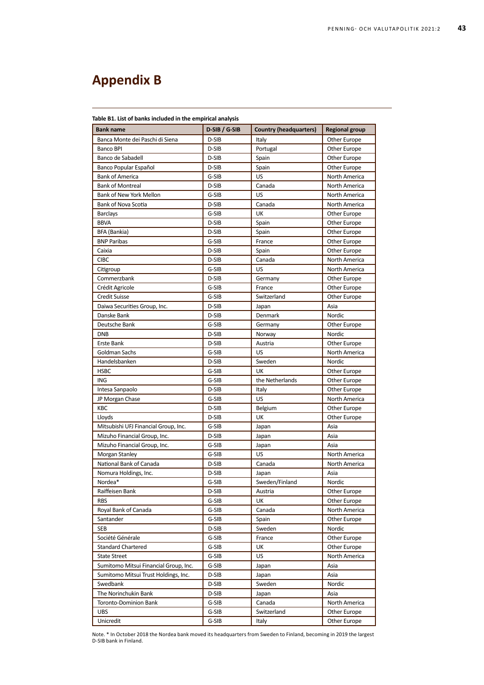# **Appendix B**

| <b>Bank name</b>                      | D-SIB / G-SIB | <b>Country (headquarters)</b> | <b>Regional group</b> |
|---------------------------------------|---------------|-------------------------------|-----------------------|
| Banca Monte dei Paschi di Siena       | D-SIB         | Italy                         | Other Europe          |
| Banco BPI                             | D-SIB         | Portugal                      | Other Europe          |
| Banco de Sabadell                     | D-SIB         | Spain                         | Other Europe          |
| Banco Popular Español                 | D-SIB         | Spain                         | Other Europe          |
| <b>Bank of America</b>                | G-SIB         | US                            | North America         |
| <b>Bank of Montreal</b>               | D-SIB         | Canada                        | North America         |
| Bank of New York Mellon               | G-SIB         | US                            | North America         |
| Bank of Nova Scotia                   | D-SIB         | Canada                        | North America         |
| <b>Barclays</b>                       | G-SIB         | UK                            | Other Europe          |
| <b>BBVA</b>                           | D-SIB         | Spain                         | Other Europe          |
| BFA (Bankia)                          | D-SIB         | Spain                         | Other Europe          |
| <b>BNP Paribas</b>                    | G-SIB         | France                        | Other Europe          |
| Caixia                                | D-SIB         | Spain                         | Other Europe          |
| <b>CIBC</b>                           | D-SIB         | Canada                        | North America         |
| Citigroup                             | G-SIB         | US                            | North America         |
| Commerzbank                           | D-SIB         | Germany                       | Other Europe          |
| Crédit Agricole                       | G-SIB         | France                        | Other Europe          |
| <b>Credit Suisse</b>                  | G-SIB         | Switzerland                   | Other Europe          |
| Daiwa Securities Group, Inc.          | D-SIB         | Japan                         | Asia                  |
| Danske Bank                           | D-SIB         | Denmark                       | Nordic                |
| Deutsche Bank                         | G-SIB         | Germany                       | Other Europe          |
| <b>DNB</b>                            | D-SIB         | Norway                        | <b>Nordic</b>         |
| <b>Erste Bank</b>                     | D-SIB         | Austria                       | Other Europe          |
| Goldman Sachs                         | G-SIB         | US                            | North America         |
| Handelsbanken                         | D-SIB         | Sweden                        | Nordic                |
| <b>HSBC</b>                           | G-SIB         | UK                            | Other Europe          |
| <b>ING</b>                            | G-SIB         | the Netherlands               | Other Europe          |
| Intesa Sanpaolo                       | D-SIB         | Italy                         | Other Europe          |
| JP Morgan Chase                       | G-SIB         | US                            | North America         |
| KBC                                   | D-SIB         | Belgium                       | Other Europe          |
| Lloyds                                | D-SIB         | UK                            | Other Europe          |
| Mitsubishi UFJ Financial Group, Inc.  | G-SIB         | Japan                         | Asia                  |
| Mizuho Financial Group, Inc.          | D-SIB         | Japan                         | Asia                  |
| Mizuho Financial Group, Inc.          | G-SIB         | Japan                         | Asia                  |
| Morgan Stanley                        | G-SIB         | US                            | North America         |
| National Bank of Canada               | D-SIB         | Canada                        | North America         |
| Nomura Holdings, Inc.                 | D-SIB         | Japan                         | Asia                  |
| Nordea*                               | G-SIB         | Sweden/Finland                | Nordic                |
| Raiffeisen Bank                       | D-SIB         | Austria                       | Other Europe          |
| <b>RBS</b>                            | G-SIB         | UK                            | Other Europe          |
| Royal Bank of Canada                  | G-SIB         | Canada                        | North America         |
| Santander                             | G-SIB         | Spain                         | Other Europe          |
| <b>SEB</b>                            | D-SIB         | Sweden                        | Nordic                |
| Société Générale                      | G-SIB         | France                        | Other Europe          |
| <b>Standard Chartered</b>             | G-SIB         | UK                            | Other Europe          |
| <b>State Street</b>                   | G-SIB         | <b>US</b>                     | North America         |
| Sumitomo Mitsui Financial Group, Inc. | G-SIB         | Japan                         | Asia                  |
| Sumitomo Mitsui Trust Holdings, Inc.  | D-SIB         | Japan                         | Asia                  |
| Swedbank                              | D-SIB         | Sweden                        | Nordic                |
| The Norinchukin Bank                  | D-SIB         | Japan                         | Asia                  |
| Toronto-Dominion Bank                 | G-SIB         | Canada                        | North America         |
| <b>UBS</b>                            | G-SIB         | Switzerland                   | Other Europe          |
| Unicredit                             | G-SIB         | Italy                         | Other Europe          |

Note. \* In October 2018 the Nordea bank moved its headquarters from Sweden to Finland, becoming in 2019 the largest D-SIB bank in Finland.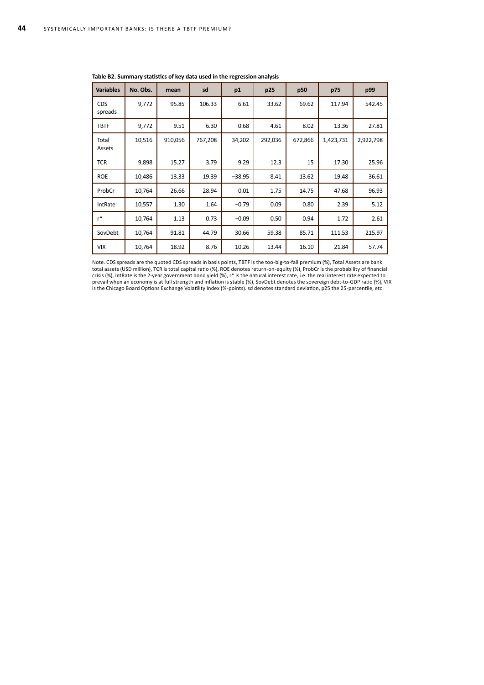| <b>Variables</b>      | No. Obs. | mean    | sd      | p1       | p25     | p50     | p75       | p99       |
|-----------------------|----------|---------|---------|----------|---------|---------|-----------|-----------|
| <b>CDS</b><br>spreads | 9,772    | 95.85   | 106.33  | 6.61     | 33.62   | 69.62   | 117.94    | 542.45    |
| <b>TBTF</b>           | 9,772    | 9.51    | 6.30    | 0.68     | 4.61    | 8.02    | 13.36     | 27.81     |
| Total<br>Assets       | 10,516   | 910,056 | 767,208 | 34,202   | 292,036 | 672,866 | 1,423,731 | 2,922,798 |
| <b>TCR</b>            | 9,898    | 15.27   | 3.79    | 9.29     | 12.3    | 15      | 17.30     | 25.96     |
| <b>ROE</b>            | 10,486   | 13.33   | 19.39   | $-38.95$ | 8.41    | 13.62   | 19.48     | 36.61     |
| ProbCr                | 10,764   | 26.66   | 28.94   | 0.01     | 1.75    | 14.75   | 47.68     | 96.93     |
| IntRate               | 10,557   | 1.30    | 1.64    | $-0.79$  | 0.09    | 0.80    | 2.39      | 5.12      |
| $r^*$                 | 10,764   | 1.13    | 0.73    | $-0.09$  | 0.50    | 0.94    | 1.72      | 2.61      |
| SovDebt               | 10,764   | 91.81   | 44.79   | 30.66    | 59.38   | 85.71   | 111.53    | 215.97    |
| <b>VIX</b>            | 10,764   | 18.92   | 8.76    | 10.26    | 13.44   | 16.10   | 21.84     | 57.74     |

**Table B2. Summary statistics of key data used in the regression analysis**

Note. CDS spreads are the quoted CDS spreads in basis points, TBTF is the too-big-to-fail premium (%), Total Assets are bank total assets (USD million), TCR is total capital ratio (%), ROE denotes return-on-equity (%), ProbCr is the probability of financial crisis (%), IntRate is the 2-year government bond yield (%), r\* is the natural interest rate, i.e. the real interest rate expected to prevail when an economy is at full strength and inflation is stable (%), SovDebt denotes the sovereign debt-to-GDP ratio (%), VIX is the Chicago Board Options Exchange Volatility Index (%-points). sd denotes standard deviation, p25 the 25-percentile, etc.